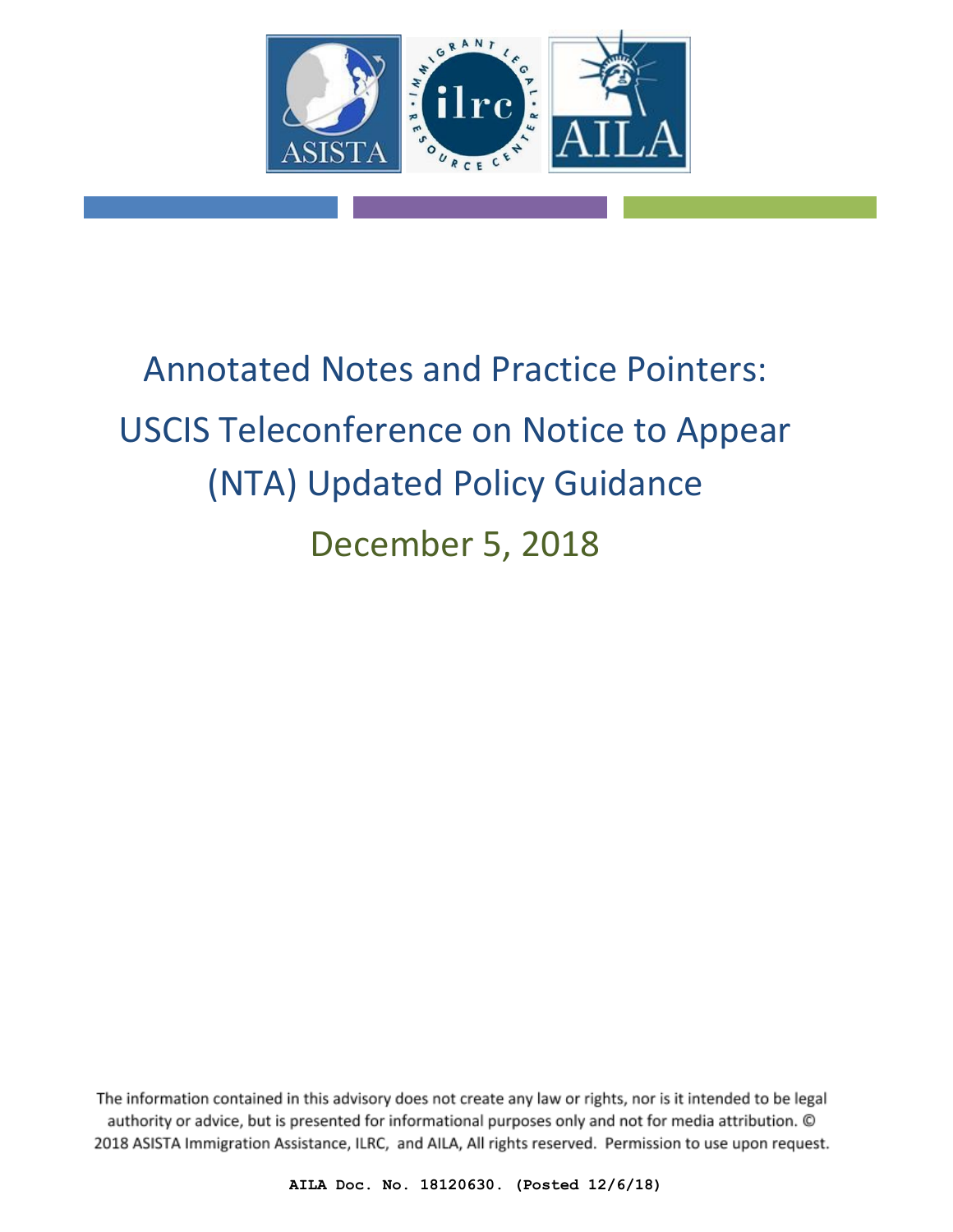

# Annotated Notes and Practice Pointers: USCIS Teleconference on Notice to Appear (NTA) Updated Policy Guidance December 5, 2018

The information contained in this advisory does not create any law or rights, nor is it intended to be legal authority or advice, but is presented for informational purposes only and not for media attribution. © 2018 ASISTA Immigration Assistance, ILRC, and AILA, All rights reserved. Permission to use upon request.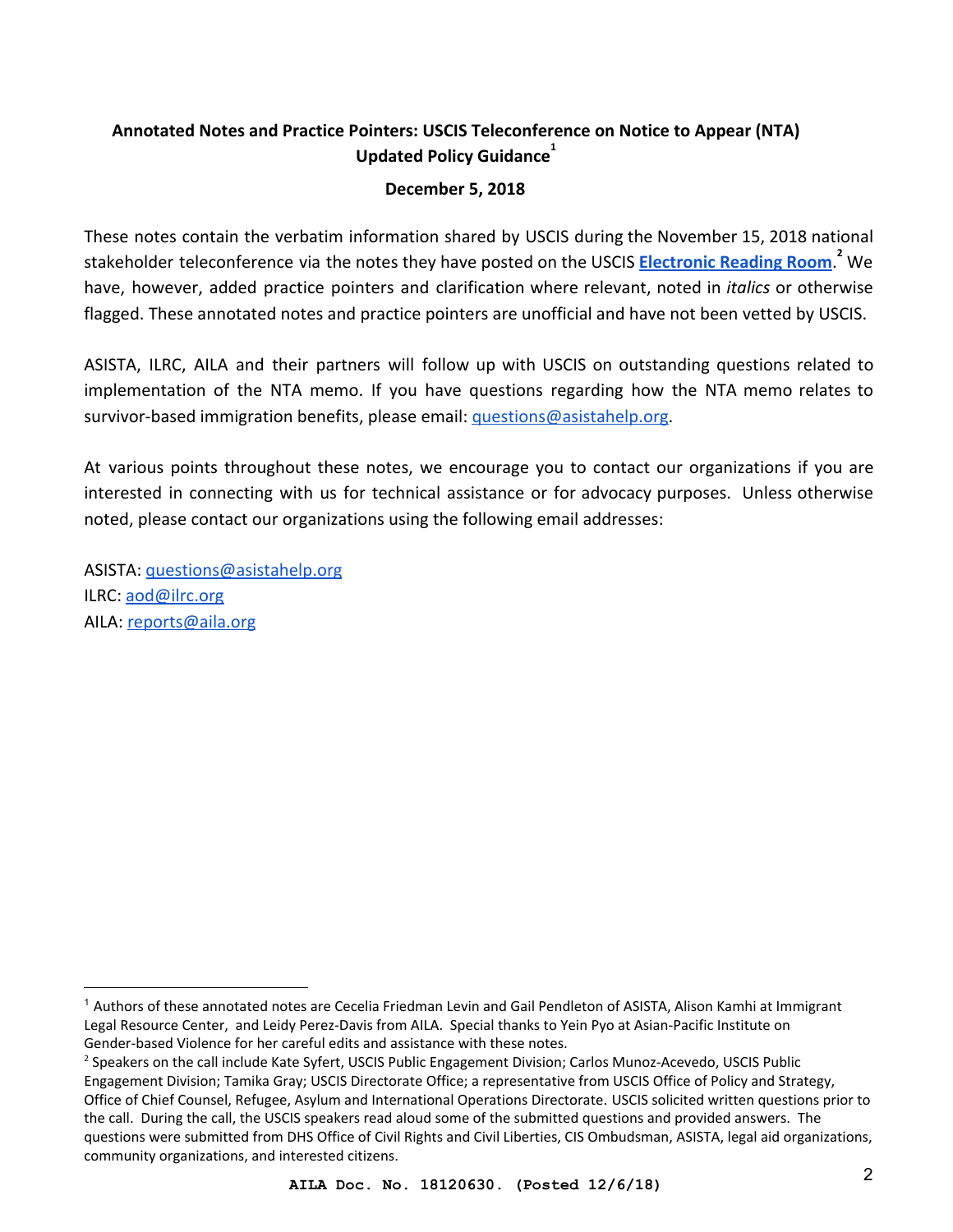## **Annotated Notes and Practice Pointers: USCIS Teleconference on Notice to Appear (NTA) Updated Policy Guidance**<sup>1</sup>

#### **December 5, 2018**

These notes contain the verbatim information shared by USCIS during the November 15, 2018 national stakeholder teleconference via the notes they have posted on the USCIS **[Electronic Reading Room](https://www.uscis.gov/about-us/electronic-reading-room)**. We **<sup>2</sup>** have, however, added practice pointers and clarification where relevant, noted in *italics* or otherwise flagged. These annotated notes and practice pointers are unofficial and have not been vetted by USCIS.

ASISTA, ILRC, AILA and their partners will follow up with USCIS on outstanding questions related to implementation of the NTA memo. If you have questions regarding how the NTA memo relates to survivor-based immigration benefits, please email: [questions@asistahelp.org.](mailto:questions@asistahelp.org)

At various points throughout these notes, we encourage you to contact our organizations if you are interested in connecting with us for technical assistance or for advocacy purposes. Unless otherwise noted, please contact our organizations using the following email addresses:

ASISTA: [questions@asistahelp.org](mailto:questions@aasistahelp.org) ILRC: [aod@ilrc.org](mailto:aod@ilrc.org) AILA: [reports@aila.org](mailto:reports@aila.org)

<sup>1</sup> Authors of these annotated notes are Cecelia Friedman Levin and Gail Pendleton of ASISTA, Alison Kamhi at Immigrant Legal Resource Center, and Leidy Perez-Davis from AILA. Special thanks to Yein Pyo at Asian-Pacific Institute on Gender-based Violence for her careful edits and assistance with these notes.

<sup>2</sup> Speakers on the call include Kate Syfert, USCIS Public Engagement Division; Carlos Munoz-Acevedo, USCIS Public Engagement Division; Tamika Gray; USCIS Directorate Office; a representative from USCIS Office of Policy and Strategy, Office of Chief Counsel, Refugee, Asylum and International Operations Directorate. USCIS solicited written questions prior to the call. During the call, the USCIS speakers read aloud some of the submitted questions and provided answers. The questions were submitted from DHS Office of Civil Rights and Civil Liberties, CIS Ombudsman, ASISTA, legal aid organizations, community organizations, and interested citizens.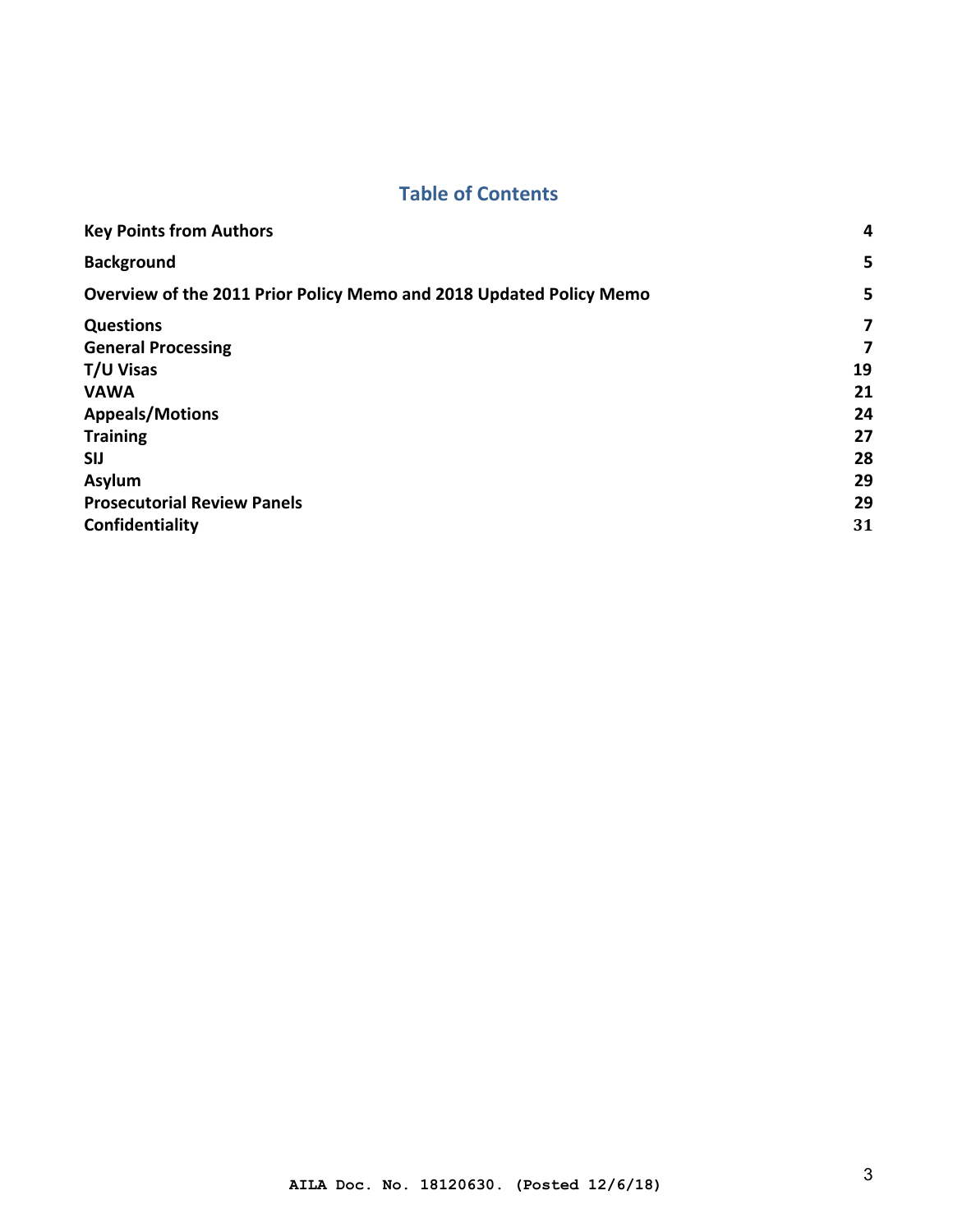# **Table of Contents**

| <b>Key Points from Authors</b>                                      | 4              |
|---------------------------------------------------------------------|----------------|
| <b>Background</b>                                                   | 5              |
| Overview of the 2011 Prior Policy Memo and 2018 Updated Policy Memo | 5              |
| <b>Questions</b>                                                    | $\overline{ }$ |
| <b>General Processing</b>                                           | 7              |
| T/U Visas                                                           | 19             |
| <b>VAWA</b>                                                         | 21             |
| <b>Appeals/Motions</b>                                              | 24             |
| <b>Training</b>                                                     | 27             |
| <b>SIJ</b>                                                          | 28             |
| Asylum                                                              | 29             |
| <b>Prosecutorial Review Panels</b>                                  | 29             |
| Confidentiality                                                     | 31             |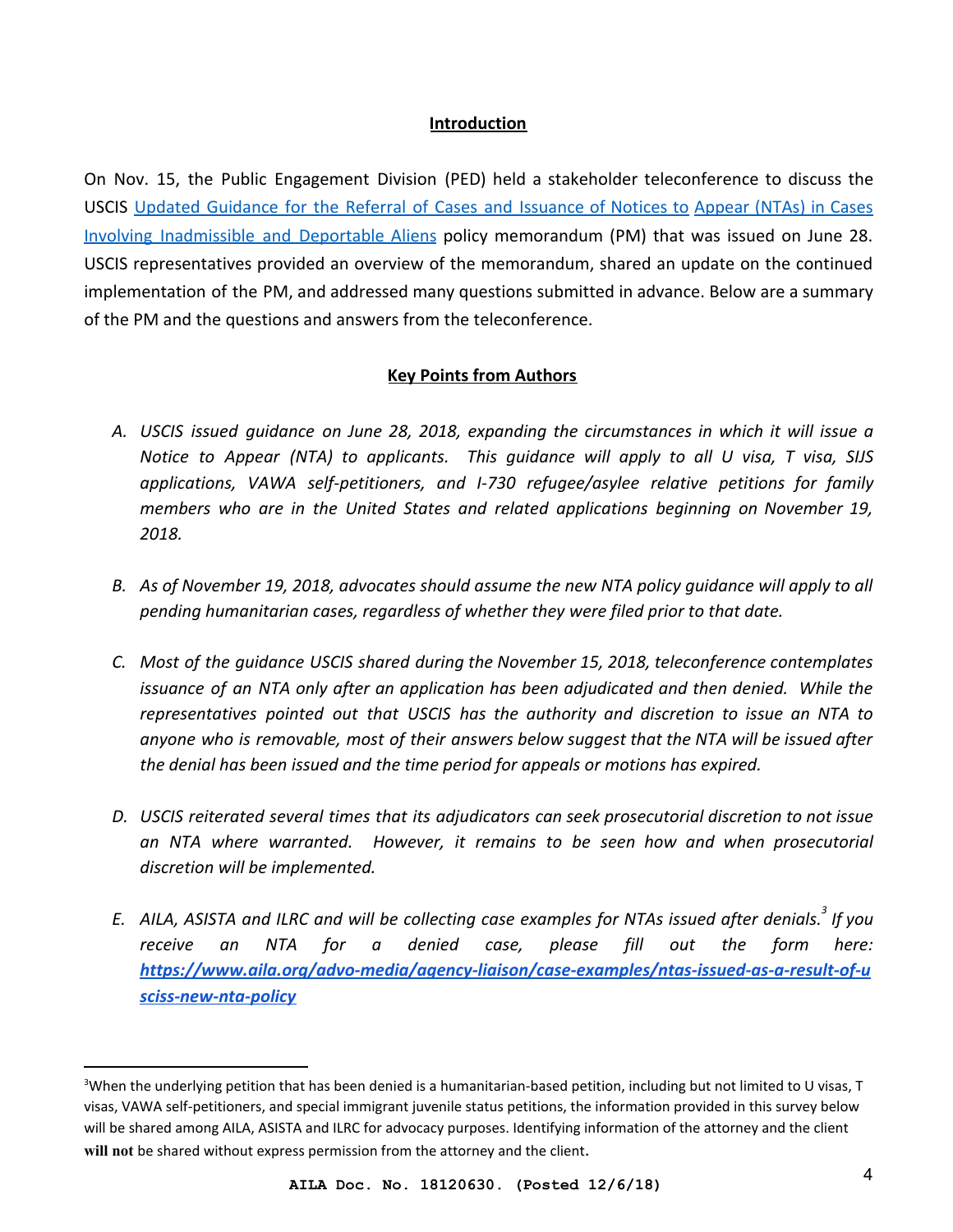#### **Introduction**

On Nov. 15, the Public Engagement Division (PED) held a stakeholder teleconference to discuss the USCIS [Updated Guidance for the Referral of Cases and Issuance of Notices to](https://www.uscis.gov/sites/default/files/USCIS/Laws/Memoranda/2018/2018-06-28-PM-602-0050.1-Guidance-for-Referral-of-Cases-and-Issuance-of-NTA.pdf) [Appear \(NTAs\) in Cases](https://www.uscis.gov/sites/default/files/USCIS/Laws/Memoranda/2018/2018-06-28-PM-602-0050.1-Guidance-for-Referral-of-Cases-and-Issuance-of-NTA.pdf) [Involving Inadmissible and Deportable Aliens](https://www.uscis.gov/sites/default/files/USCIS/Laws/Memoranda/2018/2018-06-28-PM-602-0050.1-Guidance-for-Referral-of-Cases-and-Issuance-of-NTA.pdf) policy memorandum (PM) that was issued on June 28. USCIS representatives provided an overview of the memorandum, shared an update on the continued implementation of the PM, and addressed many questions submitted in advance. Below are a summary of the PM and the questions and answers from the teleconference.

#### **Key Points from Authors**

- <span id="page-3-0"></span>*A. USCIS issued guidance on June 28, 2018, expanding the circumstances in which it will issue a Notice to Appear (NTA) to applicants. This guidance will apply to all U visa, T visa, SIJS applications, VAWA self-petitioners, and I-730 refugee/asylee relative petitions for family members who are in the United States and related applications beginning on November 19, 2018.*
- *B. As of November 19, 2018, advocates should assume the new NTA policy guidance will apply to all pending humanitarian cases, regardless of whether they were filed prior to that date.*
- *C. Most of the guidance USCIS shared during the November 15, 2018, teleconference contemplates issuance of an NTA only after an application has been adjudicated and then denied. While the representatives pointed out that USCIS has the authority and discretion to issue an NTA to anyone who is removable, most of their answers below suggest that the NTA will be issued after the denial has been issued and the time period for appeals or motions has expired.*
- *D. USCIS reiterated several times that its adjudicators can seek prosecutorial discretion to not issue an NTA where warranted. However, it remains to be seen how and when prosecutorial discretion will be implemented.*
- *E. AILA, ASISTA and ILRC and will be collecting case examples for NTAs issued after denials. If you <sup>3</sup> receive an NTA for a denied case, please fill out the form here: [https://www.aila.org/advo-media/agency-liaison/case-examples/ntas-issued-as-a-result-of-u](https://www.aila.org/advo-media/agency-liaison/case-examples/ntas-issued-as-a-result-of-usciss-new-nta-policy) [sciss-new-nta-policy](https://www.aila.org/advo-media/agency-liaison/case-examples/ntas-issued-as-a-result-of-usciss-new-nta-policy)*

<sup>&</sup>lt;sup>3</sup>When the underlying petition that has been denied is a humanitarian-based petition, including but not limited to U visas, T visas, VAWA self-petitioners, and special immigrant juvenile status petitions, the information provided in this survey below will be shared among AILA, ASISTA and ILRC for advocacy purposes. Identifying information of the attorney and the client will not be shared without express permission from the attorney and the client.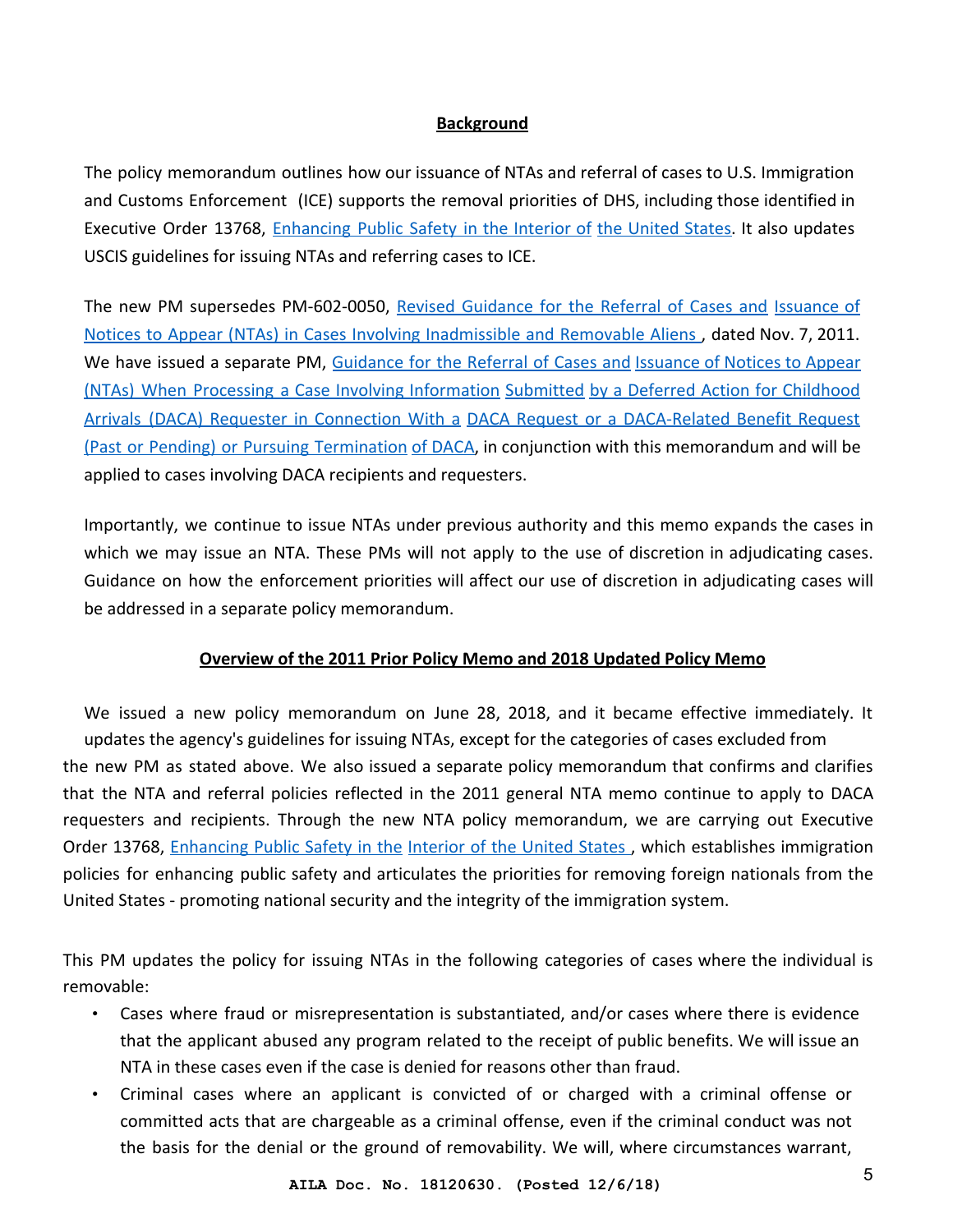#### **Background**

<span id="page-4-0"></span>The policy memorandum outlines how our issuance of NTAs and referral of cases to U.S. Immigration and Customs Enforcement (ICE) supports the removal priorities of DHS, including those identified in Executive Order 13768, [Enhancing Public Safety in the Interior of](https://www.federalregister.gov/documents/2017/01/30/2017-02102/enhancing-public-safety-in-the-interior-of-the-united-states) [the United States.](https://www.federalregister.gov/documents/2017/01/30/2017-02102/enhancing-public-safety-in-the-interior-of-the-united-states) It also updates USCIS guidelines for issuing NTAs and referring cases to ICE.

The new PM supersedes PM-602-0050, [Revised Guidance for the Referral of Cases and](http://connect.uscis.dhs.gov/workingresources/immigrationpolicy/Documents/PM-602-0050.pdf) [Issuance of](http://connect.uscis.dhs.gov/workingresources/immigrationpolicy/Documents/PM-602-0050.pdf) [Notices to Appear \(NTAs\) in Cases Involving Inadmissible and Removable Aliens](http://connect.uscis.dhs.gov/workingresources/immigrationpolicy/Documents/PM-602-0050.pdf) , dated Nov. 7, 2011. We have issued a separate PM, [Guidance for the Referral of Cases and](https://www.uscis.gov/sites/default/files/USCIS/Laws/Memoranda/2018/2018-06-28-PM-602-0161-DACA-Notice-to-Appear.pdf) [Issuance of Notices to Appear](https://www.uscis.gov/sites/default/files/USCIS/Laws/Memoranda/2018/2018-06-28-PM-602-0161-DACA-Notice-to-Appear.pdf) [\(NTAs\) When Processing a Case Involving Information](https://www.uscis.gov/sites/default/files/USCIS/Laws/Memoranda/2018/2018-06-28-PM-602-0161-DACA-Notice-to-Appear.pdf) [Submitted](https://www.uscis.gov/sites/default/files/USCIS/Laws/Memoranda/2018/2018-06-28-PM-602-0161-DACA-Notice-to-Appear.pdf) [by a Deferred Action for Childhood](https://www.uscis.gov/sites/default/files/USCIS/Laws/Memoranda/2018/2018-06-28-PM-602-0161-DACA-Notice-to-Appear.pdf) [Arrivals \(DACA\) Requester in Connection With a](https://www.uscis.gov/sites/default/files/USCIS/Laws/Memoranda/2018/2018-06-28-PM-602-0161-DACA-Notice-to-Appear.pdf) [DACA Request or a DACA-Related Benefit Request](https://www.uscis.gov/sites/default/files/USCIS/Laws/Memoranda/2018/2018-06-28-PM-602-0161-DACA-Notice-to-Appear.pdf) [\(Past or Pending\) or Pursuing Termination](https://www.uscis.gov/sites/default/files/USCIS/Laws/Memoranda/2018/2018-06-28-PM-602-0161-DACA-Notice-to-Appear.pdf) [of DACA,](https://www.uscis.gov/sites/default/files/USCIS/Laws/Memoranda/2018/2018-06-28-PM-602-0161-DACA-Notice-to-Appear.pdf) in conjunction with this memorandum and will be applied to cases involving DACA recipients and requesters.

Importantly, we continue to issue NTAs under previous authority and this memo expands the cases in which we may issue an NTA. These PMs will not apply to the use of discretion in adjudicating cases. Guidance on how the enforcement priorities will affect our use of discretion in adjudicating cases will be addressed in a separate policy memorandum.

#### **Overview of the 2011 Prior Policy Memo and 2018 Updated Policy Memo**

<span id="page-4-1"></span>We issued a new policy memorandum on June 28, 2018, and it became effective immediately. It updates the agency's guidelines for issuing NTAs, except for the categories of cases excluded from the new PM as stated above. We also issued a separate policy memorandum that confirms and clarifies that the NTA and referral policies reflected in the 2011 general NTA memo continue to apply to DACA requesters and recipients. Through the new NTA policy memorandum, we are carrying out Executive Order 13768, [Enhancing Public Safety in the](https://www.federalregister.gov/documents/2017/01/30/2017-02102/enhancing-public-safety-in-the-interior-of-the-united-states) [Interior of the United States](https://www.federalregister.gov/documents/2017/01/30/2017-02102/enhancing-public-safety-in-the-interior-of-the-united-states), which establishes immigration policies for enhancing public safety and articulates the priorities for removing foreign nationals from the United States - promoting national security and the integrity of the immigration system.

This PM updates the policy for issuing NTAs in the following categories of cases where the individual is removable:

- Cases where fraud or misrepresentation is substantiated, and/or cases where there is evidence that the applicant abused any program related to the receipt of public benefits. We will issue an NTA in these cases even if the case is denied for reasons other than fraud.
- Criminal cases where an applicant is convicted of or charged with a criminal offense or committed acts that are chargeable as a criminal offense, even if the criminal conduct was not the basis for the denial or the ground of removability. We will, where circumstances warrant,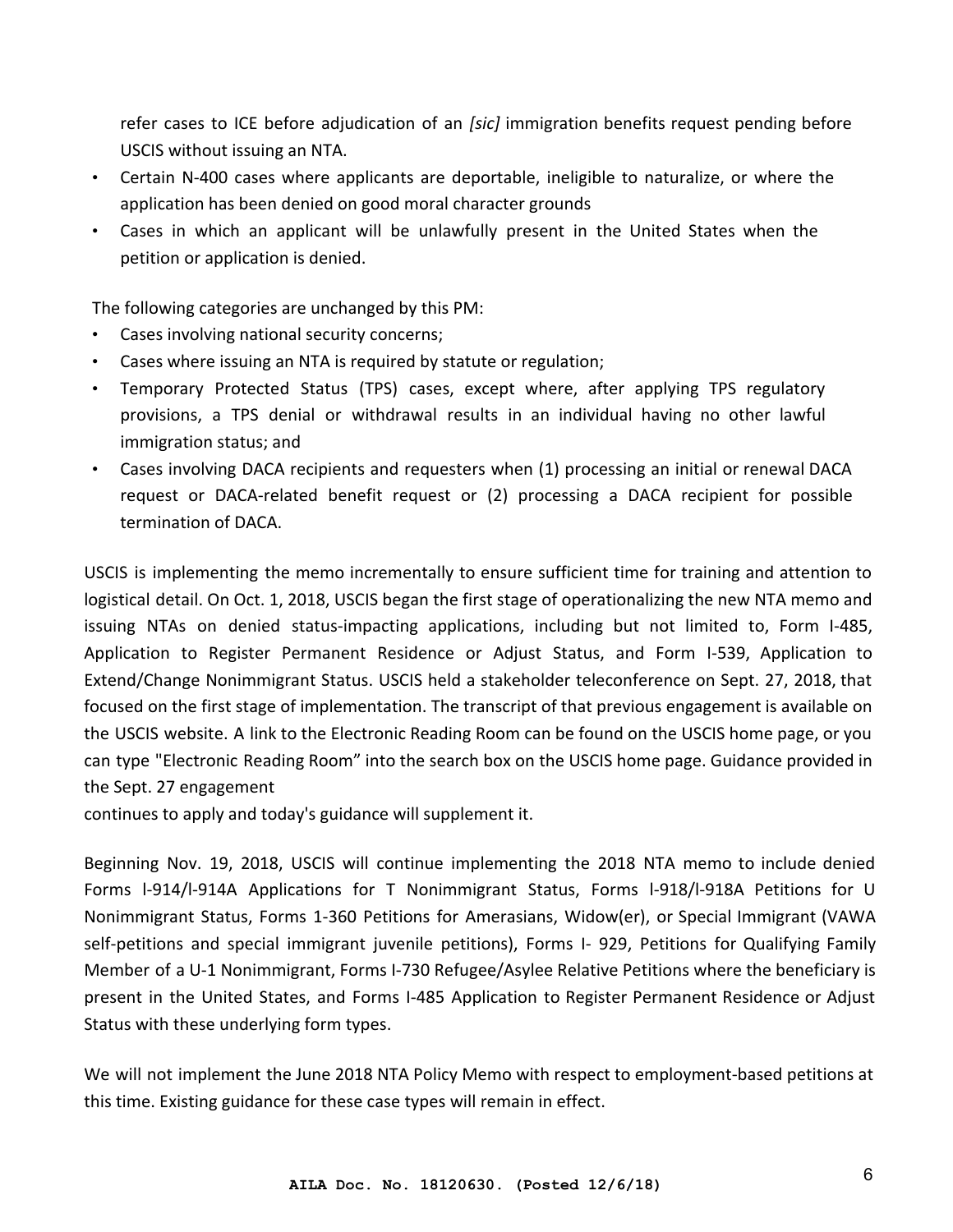refer cases to ICE before adjudication of an *[sic]* immigration benefits request pending before USCIS without issuing an NTA.

- Certain N-400 cases where applicants are deportable, ineligible to naturalize, or where the application has been denied on good moral character grounds
- Cases in which an applicant will be unlawfully present in the United States when the petition or application is denied.

The following categories are unchanged by this PM:

- Cases involving national security concerns;
- Cases where issuing an NTA is required by statute or regulation;
- Temporary Protected Status (TPS) cases, except where, after applying TPS regulatory provisions, a TPS denial or withdrawal results in an individual having no other lawful immigration status; and
- Cases involving DACA recipients and requesters when (1) processing an initial or renewal DACA request or DACA-related benefit request or (2) processing a DACA recipient for possible termination of DACA.

USCIS is implementing the memo incrementally to ensure sufficient time for training and attention to logistical detail. On Oct. 1, 2018, USCIS began the first stage of operationalizing the new NTA memo and issuing NTAs on denied status-impacting applications, including but not limited to, Form I-485, Application to Register Permanent Residence or Adjust Status, and Form I-539, Application to Extend/Change Nonimmigrant Status. USCIS held a stakeholder teleconference on Sept. 27, 2018, that focused on the first stage of implementation. The transcript of that previous engagement is available on the USCIS website. A link to the Electronic Reading Room can be found on the USCIS home page, or you can type "Electronic Reading Room" into the search box on the USCIS home page. Guidance provided in the Sept. 27 engagement

continues to apply and today's guidance will supplement it.

Beginning Nov. 19, 2018, USCIS will continue implementing the 2018 NTA memo to include denied Forms l-914/l-914A Applications for T Nonimmigrant Status, Forms l-918/l-918A Petitions for U Nonimmigrant Status, Forms 1-360 Petitions for Amerasians, Widow(er), or Special Immigrant (VAWA self-petitions and special immigrant juvenile petitions), Forms I- 929, Petitions for Qualifying Family Member of a U-1 Nonimmigrant, Forms I-730 Refugee/Asylee Relative Petitions where the beneficiary is present in the United States, and Forms I-485 Application to Register Permanent Residence or Adjust Status with these underlying form types.

We will not implement the June 2018 NTA Policy Memo with respect to employment-based petitions at this time. Existing guidance for these case types will remain in effect.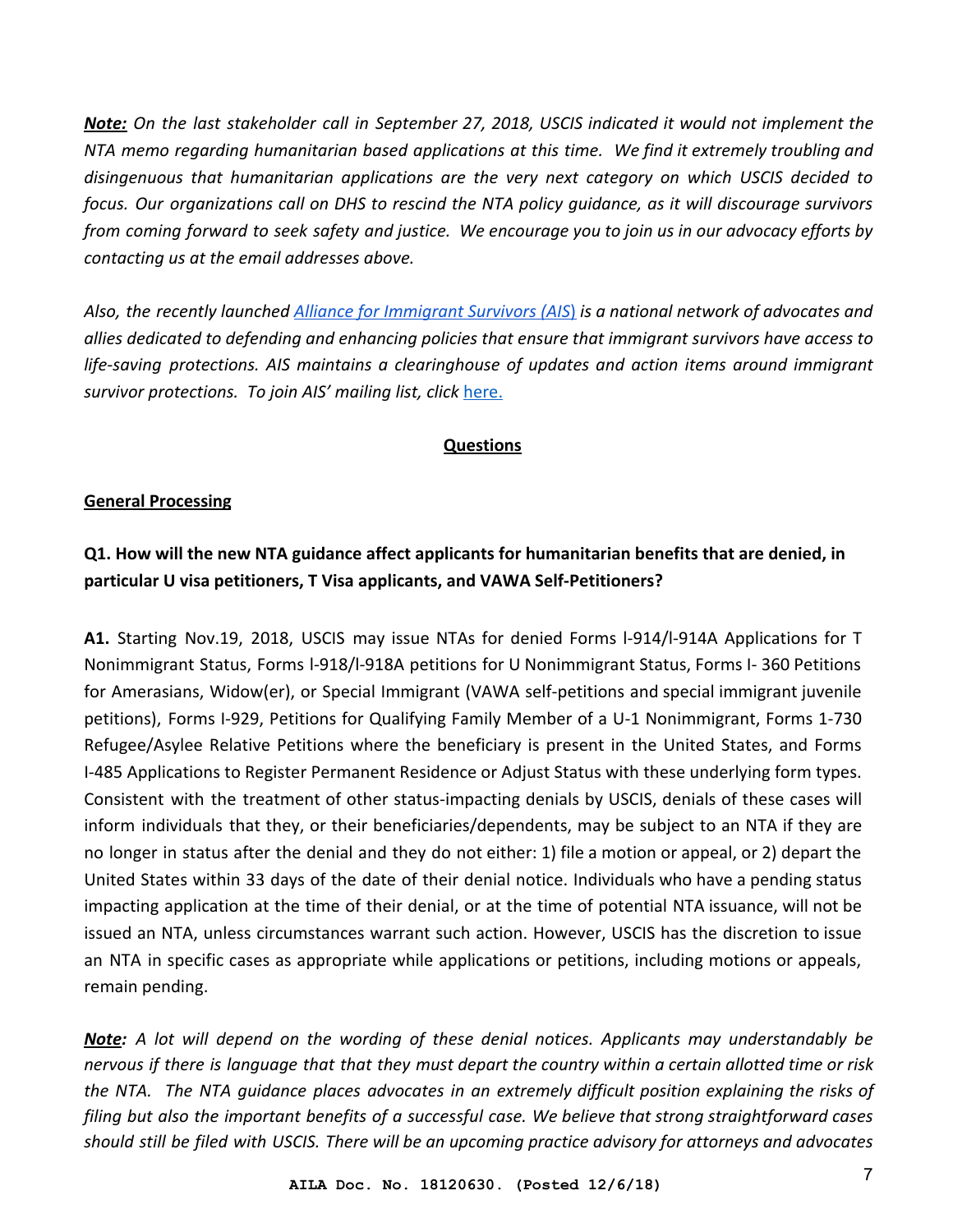*Note: On the last stakeholder call in September 27, 2018, USCIS indicated it would not implement the NTA memo regarding humanitarian based applications at this time. We find it extremely troubling and disingenuous that humanitarian applications are the very next category on which USCIS decided to focus. Our organizations call on DHS to rescind the NTA policy guidance, as it will discourage survivors from coming forward to seek safety and justice. We encourage you to join us in our advocacy efforts by contacting us at the email addresses above.*

*Also, the recently launched [Alliance for Immigrant Survivors \(AIS](http://www.immigrantsurvivors.org/)*[\)](http://www.immigrantsurvivors.org/) *is a national network of advocates and allies dedicated to defending and enhancing policies that ensure that immigrant survivors have access to life-saving protections. AIS maintains a clearinghouse of updates and action items around immigrant survivor protections. To join AIS' mailing list, click* [here.](https://mailchi.mp/7ea299afd08b/ais-updates)

#### **Questions**

#### <span id="page-6-1"></span><span id="page-6-0"></span>**General Processing**

## **Q1. How will the new NTA guidance affect applicants for humanitarian benefits that are denied, in particular U visa petitioners, T Visa applicants, and VAWA Self-Petitioners?**

**A1.** Starting Nov.19, 2018, USCIS may issue NTAs for denied Forms l-914/l-914A Applications for T Nonimmigrant Status, Forms l-918/l-918A petitions for U Nonimmigrant Status, Forms I- 360 Petitions for Amerasians, Widow(er), or Special Immigrant (VAWA self-petitions and special immigrant juvenile petitions), Forms I-929, Petitions for Qualifying Family Member of a U-1 Nonimmigrant, Forms 1-730 Refugee/Asylee Relative Petitions where the beneficiary is present in the United States, and Forms I-485 Applications to Register Permanent Residence or Adjust Status with these underlying form types. Consistent with the treatment of other status-impacting denials by USCIS, denials of these cases will inform individuals that they, or their beneficiaries/dependents, may be subject to an NTA if they are no longer in status after the denial and they do not either: 1) file a motion or appeal, or 2) depart the United States within 33 days of the date of their denial notice. Individuals who have a pending status impacting application at the time of their denial, or at the time of potential NTA issuance, will not be issued an NTA, unless circumstances warrant such action. However, USCIS has the discretion to issue an NTA in specific cases as appropriate while applications or petitions, including motions or appeals, remain pending.

*Note: A lot will depend on the wording of these denial notices. Applicants may understandably be nervous if there is language that that they must depart the country within a certain allotted time or risk the NTA. The NTA guidance places advocates in an extremely difficult position explaining the risks of filing but also the important benefits of a successful case. We believe that strong straightforward cases should still be filed with USCIS. There will be an upcoming practice advisory for attorneys and advocates*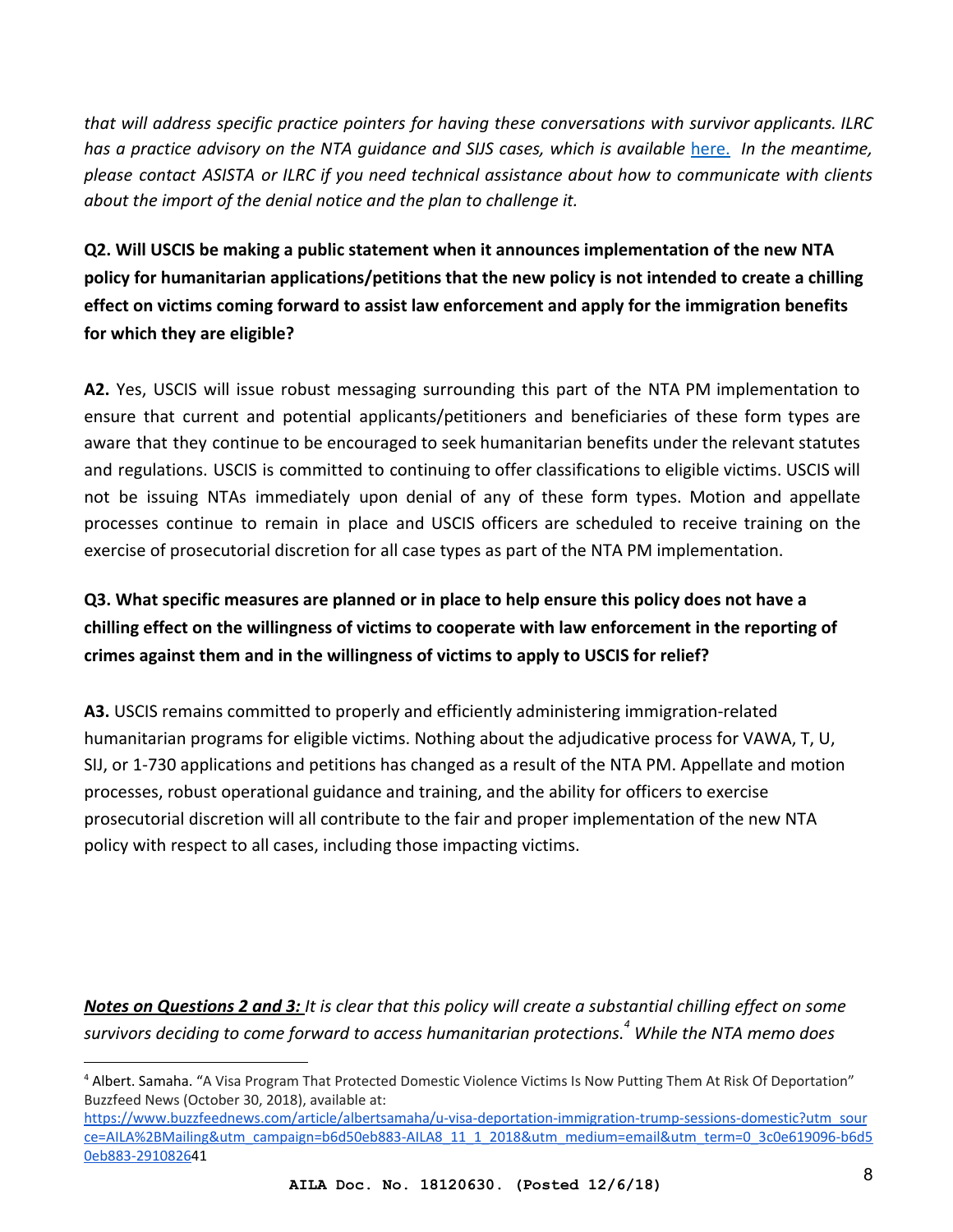*that will address specific practice pointers for having these conversations with survivor applicants. ILRC has a practice advisory on the NTA guidance and SIJS cases, which is available* [here.](https://www.ilrc.org/risks-applying-special-immigrant-juvenile-status-sijs-affirmative-cases) *In the meantime, please contact ASISTA or ILRC if you need technical assistance about how to communicate with clients about the import of the denial notice and the plan to challenge it.*

**Q2. Will USCIS be making a public statement when it announces implementation of the new NTA policy for humanitarian applications/petitions that the new policy is not intended to create a chilling effect on victims coming forward to assist law enforcement and apply for the immigration benefits for which they are eligible?**

**A2.** Yes, USCIS will issue robust messaging surrounding this part of the NTA PM implementation to ensure that current and potential applicants/petitioners and beneficiaries of these form types are aware that they continue to be encouraged to seek humanitarian benefits under the relevant statutes and regulations. USCIS is committed to continuing to offer classifications to eligible victims. USCIS will not be issuing NTAs immediately upon denial of any of these form types. Motion and appellate processes continue to remain in place and USCIS officers are scheduled to receive training on the exercise of prosecutorial discretion for all case types as part of the NTA PM implementation.

**Q3. What specific measures are planned or in place to help ensure this policy does not have a chilling effect on the willingness of victims to cooperate with law enforcement in the reporting of crimes against them and in the willingness of victims to apply to USCIS for relief?**

**A3.** USCIS remains committed to properly and efficiently administering immigration-related humanitarian programs for eligible victims. Nothing about the adjudicative process for VAWA, T, U, SIJ, or 1-730 applications and petitions has changed as a result of the NTA PM. Appellate and motion processes, robust operational guidance and training, and the ability for officers to exercise prosecutorial discretion will all contribute to the fair and proper implementation of the new NTA policy with respect to all cases, including those impacting victims.

*Notes on Questions 2 and 3: It is clear that this policy will create a substantial chilling effect on some survivors deciding to come forward to access humanitarian protections. While the NTA memo does <sup>4</sup>*

<sup>&</sup>lt;sup>4</sup> Albert. Samaha. "A Visa Program That Protected Domestic Violence Victims Is Now Putting Them At Risk Of Deportation" Buzzfeed News (October 30, 2018), available at:

[https://www.buzzfeednews.com/article/albertsamaha/u-visa-deportation-immigration-trump-sessions-domestic?utm\\_sour](https://www.buzzfeednews.com/article/albertsamaha/u-visa-deportation-immigration-trump-sessions-domestic?utm_source=AILA%2BMailing&utm_campaign=b6d50eb883-AILA8_11_1_2018&utm_medium=email&utm_term=0_3c0e619096-b6d50eb883-2910826) [ce=AILA%2BMailing&utm\\_campaign=b6d50eb883-AILA8\\_11\\_1\\_2018&utm\\_medium=email&utm\\_term=0\\_3c0e619096-b6d5](https://www.buzzfeednews.com/article/albertsamaha/u-visa-deportation-immigration-trump-sessions-domestic?utm_source=AILA%2BMailing&utm_campaign=b6d50eb883-AILA8_11_1_2018&utm_medium=email&utm_term=0_3c0e619096-b6d50eb883-2910826) [0eb883-29108264](https://www.buzzfeednews.com/article/albertsamaha/u-visa-deportation-immigration-trump-sessions-domestic?utm_source=AILA%2BMailing&utm_campaign=b6d50eb883-AILA8_11_1_2018&utm_medium=email&utm_term=0_3c0e619096-b6d50eb883-2910826)1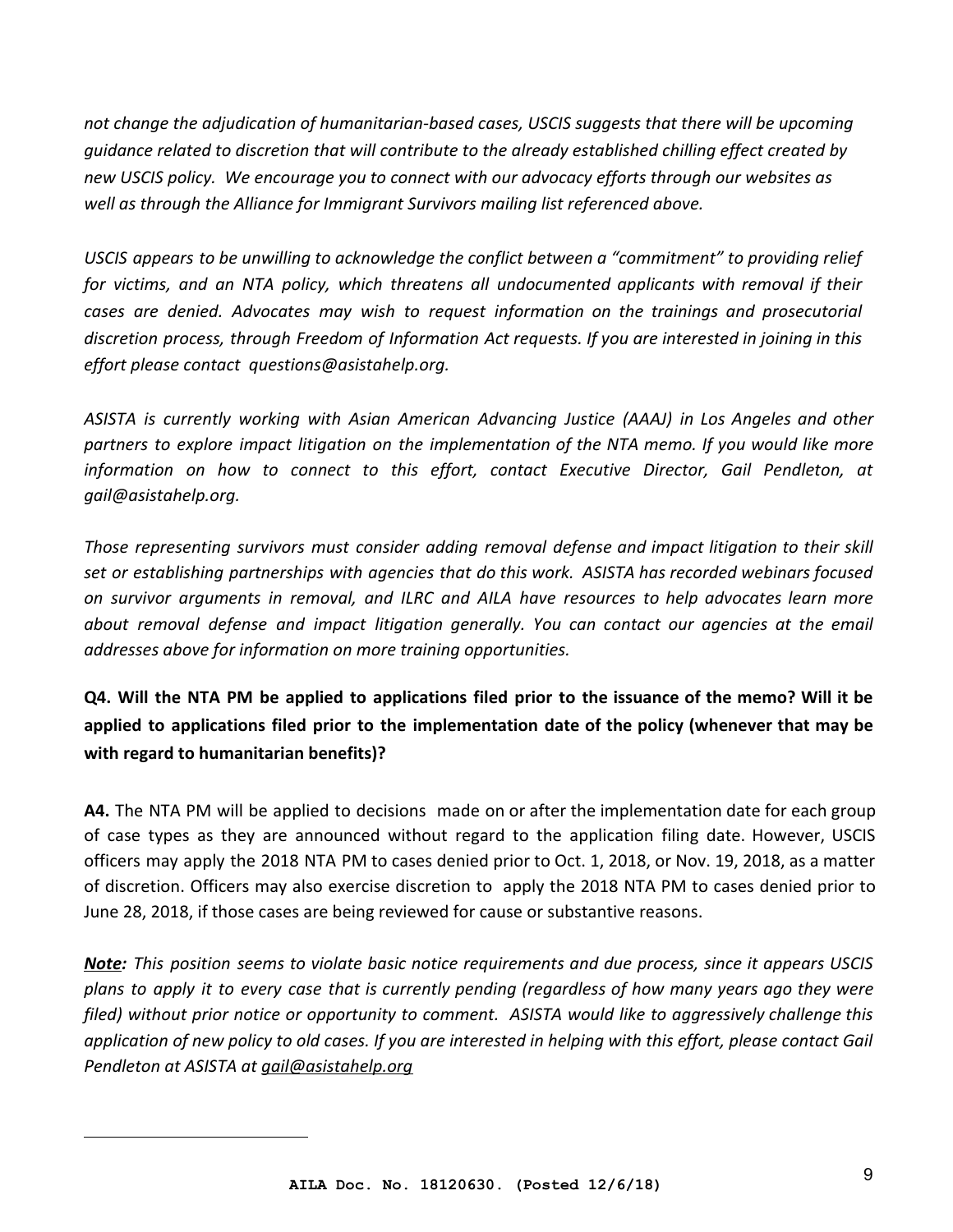*not change the adjudication of humanitarian-based cases, USCIS suggests that there will be upcoming guidance related to discretion that will contribute to the already established chilling effect created by new USCIS policy. We encourage you to connect with our advocacy efforts through our websites as well as through the Alliance for Immigrant Survivors mailing list referenced above.*

*USCIS appears to be unwilling to acknowledge the conflict between a "commitment" to providing relief for victims, and an NTA policy, which threatens all undocumented applicants with removal if their cases are denied. Advocates may wish to request information on the trainings and prosecutorial discretion process, through Freedom of Information Act requests. If you are interested in joining in this effort please contact [questions@asistahelp.org.](mailto:questions@asistahelp.org)*

*ASISTA is currently working with Asian American Advancing Justice (AAAJ) in Los Angeles and other partners to explore impact litigation on the implementation of the NTA memo. If you would like more information on how to connect to this effort, contact Executive Director, Gail Pendleton, at gail@asistahelp.org.*

*Those representing survivors must consider adding removal defense and impact litigation to their skill set or establishing partnerships with agencies that do this work. ASISTA has recorded webinars focused on survivor arguments in removal, and ILRC and AILA have resources to help advocates learn more about removal defense and impact litigation generally. You can contact our agencies at the email addresses above for information on more training opportunities.*

**Q4. Will the NTA PM be applied to applications filed prior to the issuance of the memo? Will it be applied to applications filed prior to the implementation date of the policy (whenever that may be with regard to humanitarian benefits)?**

**A4.** The NTA PM will be applied to decisions made on or after the implementation date for each group of case types as they are announced without regard to the application filing date. However, USCIS officers may apply the 2018 NTA PM to cases denied prior to Oct. 1, 2018, or Nov. 19, 2018, as a matter of discretion. Officers may also exercise discretion to apply the 2018 NTA PM to cases denied prior to June 28, 2018, if those cases are being reviewed for cause or substantive reasons.

*Note: This position seems to violate basic notice requirements and due process, since it appears USCIS plans to apply it to every case that is currently pending (regardless of how many years ago they were filed) without prior notice or opportunity to comment. ASISTA would like to aggressively challenge this application of new policy to old cases. If you are interested in helping with this effort, please contact Gail Pendleton at ASISTA at [gail@asistahelp.org](mailto:gail@asistahelp.org)*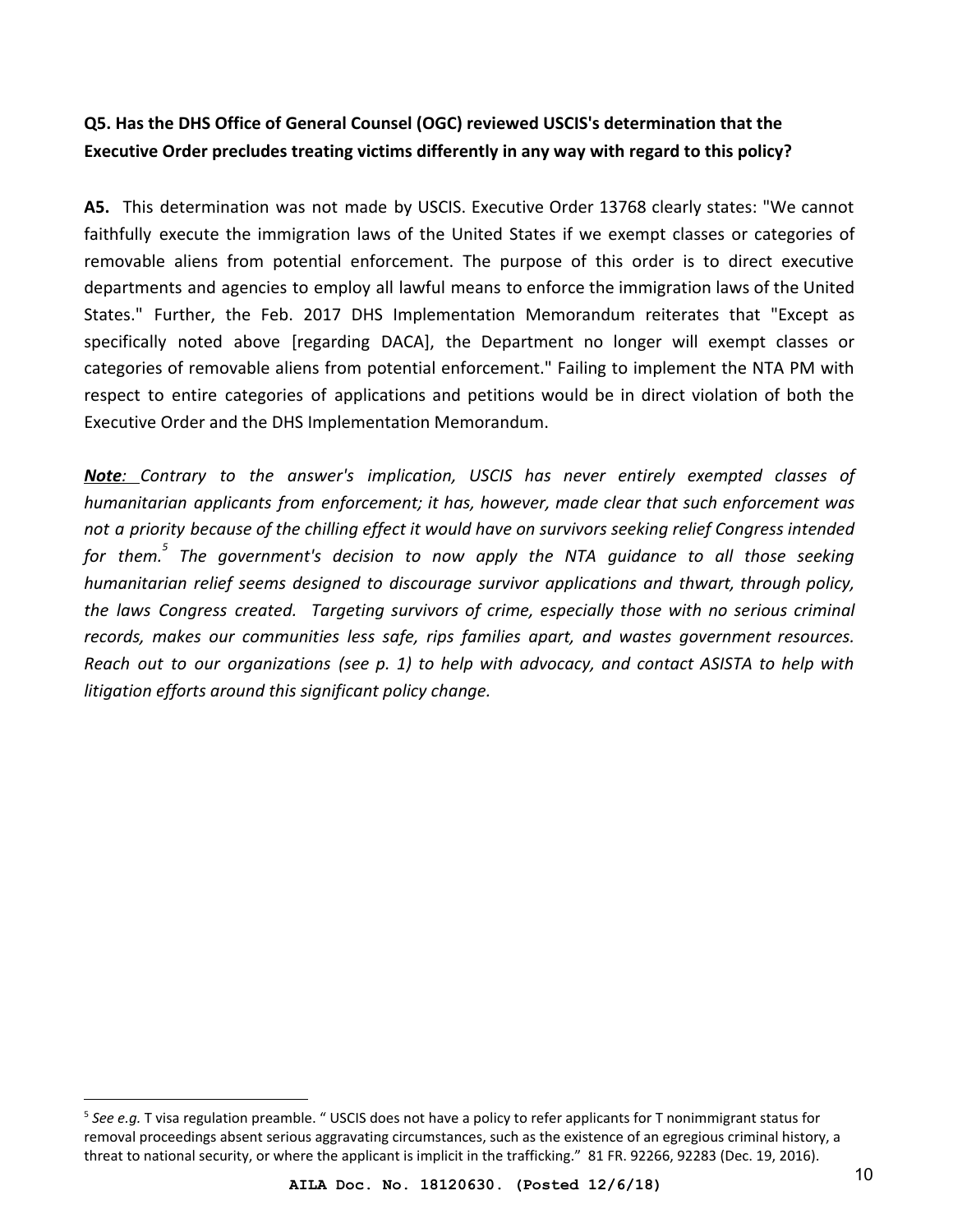# **Q5. Has the DHS Office of General Counsel (OGC) reviewed USCIS's determination that the Executive Order precludes treating victims differently in any way with regard to this policy?**

**A5.** This determination was not made by USCIS. Executive Order 13768 clearly states: "We cannot faithfully execute the immigration laws of the United States if we exempt classes or categories of removable aliens from potential enforcement. The purpose of this order is to direct executive departments and agencies to employ all lawful means to enforce the immigration laws of the United States." Further, the Feb. 2017 DHS Implementation Memorandum reiterates that "Except as specifically noted above [regarding DACA], the Department no longer will exempt classes or categories of removable aliens from potential enforcement." Failing to implement the NTA PM with respect to entire categories of applications and petitions would be in direct violation of both the Executive Order and the DHS Implementation Memorandum.

*Note: Contrary to the answer's implication, USCIS has never entirely exempted classes of humanitarian applicants from enforcement; it has, however, made clear that such enforcement was not a priority because of the chilling effect it would have on survivors seeking relief Congress intended for them. The government's decision to now apply the NTA guidance to all those seeking <sup>5</sup> humanitarian relief seems designed to discourage survivor applications and thwart, through policy, the laws Congress created. Targeting survivors of crime, especially those with no serious criminal records, makes our communities less safe, rips families apart, and wastes government resources. Reach out to our organizations (see p. 1) to help with advocacy, and contact ASISTA to help with litigation efforts around this significant policy change.*

<sup>5</sup> *See e.g.* T visa regulation preamble. " USCIS does not have a policy to refer applicants for T nonimmigrant status for removal proceedings absent serious aggravating circumstances, such as the existence of an egregious criminal history, a threat to national security, or where the applicant is implicit in the trafficking." 81 FR. 92266, 92283 (Dec. 19, 2016).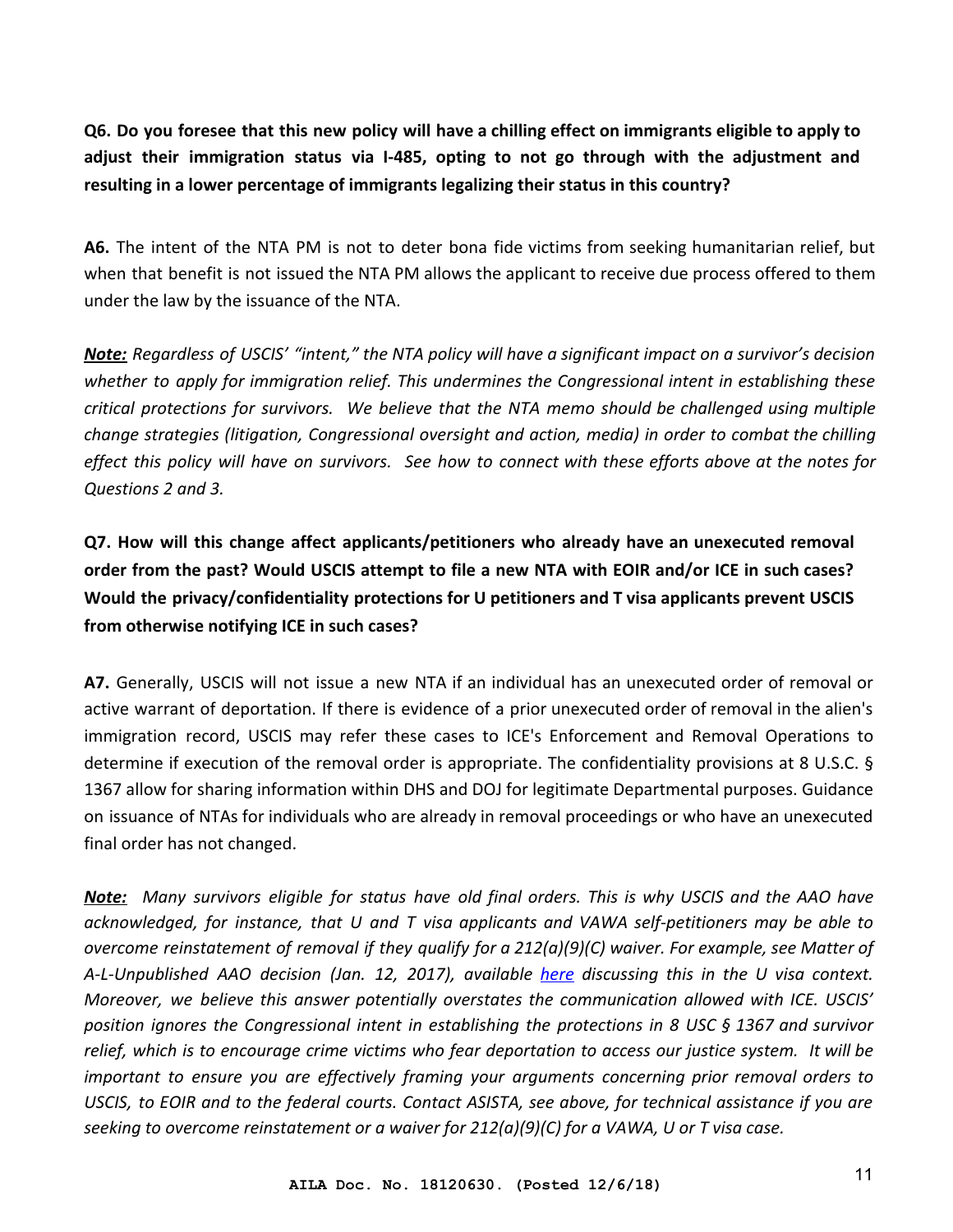**Q6. Do you foresee that this new policy will have a chilling effect on immigrants eligible to apply to adjust their immigration status via I-485, opting to not go through with the adjustment and resulting in a lower percentage of immigrants legalizing their status in this country?**

**A6.** The intent of the NTA PM is not to deter bona fide victims from seeking humanitarian relief, but when that benefit is not issued the NTA PM allows the applicant to receive due process offered to them under the law by the issuance of the NTA.

*Note: Regardless of USCIS' "intent," the NTA policy will have a significant impact on a survivor's decision whether to apply for immigration relief. This undermines the Congressional intent in establishing these critical protections for survivors. We believe that the NTA memo should be challenged using multiple change strategies (litigation, Congressional oversight and action, media) in order to combat the chilling effect this policy will have on survivors. See how to connect with these efforts above at the notes for Questions 2 and 3.*

**Q7. How will this change affect applicants/petitioners who already have an unexecuted removal order from the past? Would USCIS attempt to file a new NTA with EOIR and/or ICE in such cases? Would the privacy/confidentiality protections for U petitioners and T visa applicants prevent USCIS from otherwise notifying ICE in such cases?**

**A7.** Generally, USCIS will not issue a new NTA if an individual has an unexecuted order of removal or active warrant of deportation. If there is evidence of a prior unexecuted order of removal in the alien's immigration record, USCIS may refer these cases to ICE's Enforcement and Removal Operations to determine if execution of the removal order is appropriate. The confidentiality provisions at 8 U.S.C. § 1367 allow for sharing information within DHS and DOJ for legitimate Departmental purposes. Guidance on issuance of NTAs for individuals who are already in removal proceedings or who have an unexecuted final order has not changed.

*Note: Many survivors eligible for status have old final orders. This is why USCIS and the AAO have acknowledged, for instance, that U and T visa applicants and VAWA self-petitioners may be able to overcome reinstatement of removal if they qualify for a 212(a)(9)(C) waiver. For example, see Matter of A-L-Unpublished AAO decision (Jan. 12, 2017), available [here](http://www.asistahelp.org/documents/resources/AAO_Us_can_overcome_reinstatement_6D152D0D73812.pdf) discussing this in the U visa context. Moreover, we believe this answer potentially overstates the communication allowed with ICE. USCIS' position ignores the Congressional intent in establishing the protections in 8 USC § 1367 and survivor relief, which is to encourage crime victims who fear deportation to access our justice system. It will be important to ensure you are effectively framing your arguments concerning prior removal orders to USCIS, to EOIR and to the federal courts. Contact ASISTA, see above, for technical assistance if you are seeking to overcome reinstatement or a waiver for 212(a)(9)(C) for a VAWA, U or T visa case.*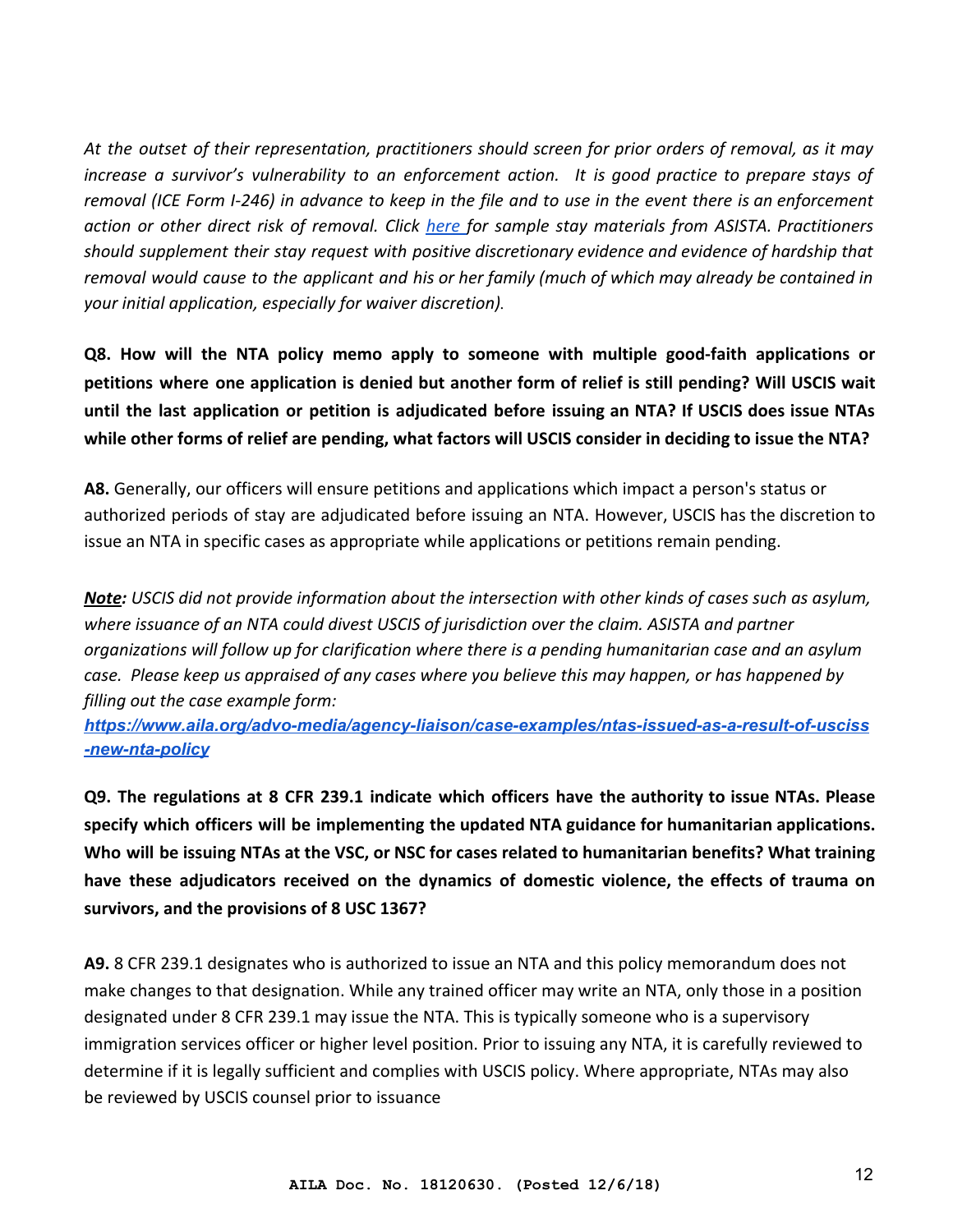*At the outset of their representation, practitioners should screen for prior orders of removal, as it may increase a survivor's vulnerability to an enforcement action. It is good practice to prepare stays of removal (ICE Form I-246) in advance to keep in the file and to use in the event there is an enforcement action or other direct risk of removal. Click [here](http://www.asistahelp.org/en/access_the_clearinghouse/working_with_survivors_at_risk_of_removal/) for sample stay materials from ASISTA. Practitioners should supplement their stay request with positive discretionary evidence and evidence of hardship that removal would cause to the applicant and his or her family (much of which may already be contained in your initial application, especially for waiver discretion).*

**Q8. How will the NTA policy memo apply to someone with multiple good-faith applications or petitions where one application is denied but another form of relief is still pending? Will USCIS wait until the last application or petition is adjudicated before issuing an NTA? If USCIS does issue NTAs while other forms of relief are pending, what factors will USCIS consider in deciding to issue the NTA?**

**A8.** Generally, our officers will ensure petitions and applications which impact a person's status or authorized periods of stay are adjudicated before issuing an NTA. However, USCIS has the discretion to issue an NTA in specific cases as appropriate while applications or petitions remain pending.

*Note: USCIS did not provide information about the intersection with other kinds of cases such as asylum, where issuance of an NTA could divest USCIS of jurisdiction over the claim. ASISTA and partner organizations will follow up for clarification where there is a pending humanitarian case and an asylum case. Please keep us appraised of any cases where you believe this may happen, or has happened by filling out the case example form:*

*[https://www.aila.org/advo-media/agency-liaison/case-examples/ntas-issued-as-a-result-of-usciss](https://www.aila.org/advo-media/agency-liaison/case-examples/ntas-issued-as-a-result-of-usciss-new-nta-policy) [-new-nta-policy](https://www.aila.org/advo-media/agency-liaison/case-examples/ntas-issued-as-a-result-of-usciss-new-nta-policy)*

**Q9. The regulations at 8 CFR 239.1 indicate which officers have the authority to issue NTAs. Please specify which officers will be implementing the updated NTA guidance for humanitarian applications. Who will be issuing NTAs at the VSC, or NSC for cases related to humanitarian benefits? What training have these adjudicators received on the dynamics of domestic violence, the effects of trauma on survivors, and the provisions of 8 USC 1367?**

**A9.** 8 CFR 239.1 designates who is authorized to issue an NTA and this policy memorandum does not make changes to that designation. While any trained officer may write an NTA, only those in a position designated under 8 CFR 239.1 may issue the NTA. This is typically someone who is a supervisory immigration services officer or higher level position. Prior to issuing any NTA, it is carefully reviewed to determine if it is legally sufficient and complies with USCIS policy. Where appropriate, NTAs may also be reviewed by USCIS counsel prior to issuance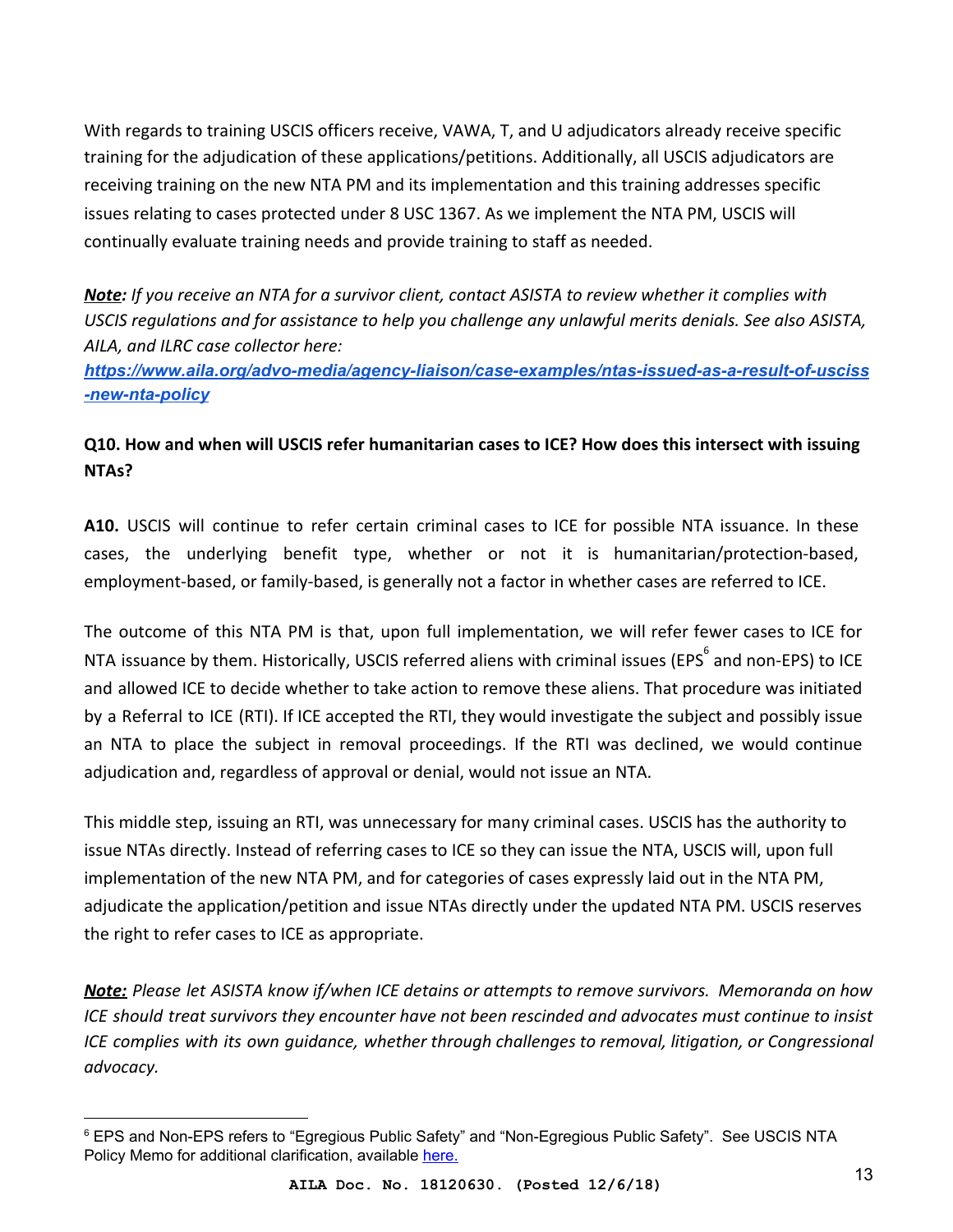With regards to training USCIS officers receive, VAWA, T, and U adjudicators already receive specific training for the adjudication of these applications/petitions. Additionally, all USCIS adjudicators are receiving training on the new NTA PM and its implementation and this training addresses specific issues relating to cases protected under 8 USC 1367. As we implement the NTA PM, USCIS will continually evaluate training needs and provide training to staff as needed.

*Note: If you receive an NTA for a survivor client, contact ASISTA to review whether it complies with USCIS regulations and for assistance to help you challenge any unlawful merits denials. See also ASISTA, AILA, and ILRC case collector here:*

*[https://www.aila.org/advo-media/agency-liaison/case-examples/ntas-issued-as-a-result-of-usciss](https://www.aila.org/advo-media/agency-liaison/case-examples/ntas-issued-as-a-result-of-usciss-new-nta-policy) [-new-nta-policy](https://www.aila.org/advo-media/agency-liaison/case-examples/ntas-issued-as-a-result-of-usciss-new-nta-policy)*

## **Q10. How and when will USCIS refer humanitarian cases to ICE? How does this intersect with issuing NTAs?**

**A10.** USCIS will continue to refer certain criminal cases to ICE for possible NTA issuance. In these cases, the underlying benefit type, whether or not it is humanitarian/protection-based, employment-based, or family-based, is generally not a factor in whether cases are referred to ICE.

The outcome of this NTA PM is that, upon full implementation, we will refer fewer cases to ICE for NTA issuance by them. Historically, USCIS referred aliens with criminal issues (EPS<sup>6</sup> and non-EPS) to ICE and allowed ICE to decide whether to take action to remove these aliens. That procedure was initiated by a Referral to ICE (RTI). If ICE accepted the RTI, they would investigate the subject and possibly issue an NTA to place the subject in removal proceedings. If the RTI was declined, we would continue adjudication and, regardless of approval or denial, would not issue an NTA.

This middle step, issuing an RTI, was unnecessary for many criminal cases. USCIS has the authority to issue NTAs directly. Instead of referring cases to ICE so they can issue the NTA, USCIS will, upon full implementation of the new NTA PM, and for categories of cases expressly laid out in the NTA PM, adjudicate the application/petition and issue NTAs directly under the updated NTA PM. USCIS reserves the right to refer cases to ICE as appropriate.

*Note: Please let ASISTA know if/when ICE detains or attempts to remove survivors. Memoranda on how ICE should treat survivors they encounter have not been rescinded and advocates must continue to insist ICE complies with its own guidance, whether through challenges to removal, litigation, or Congressional advocacy.*

<sup>6</sup> EPS and Non-EPS refers to "Egregious Public Safety" and "Non-Egregious Public Safety". See USCIS NTA Policy Memo for additional clarification, available [here.](https://www.uscis.gov/sites/default/files/USCIS/Laws/Memoranda/2018/2018-06-28-PM-602-0050.1-Guidance-for-Referral-of-Cases-and-Issuance-of-NTA.pdf)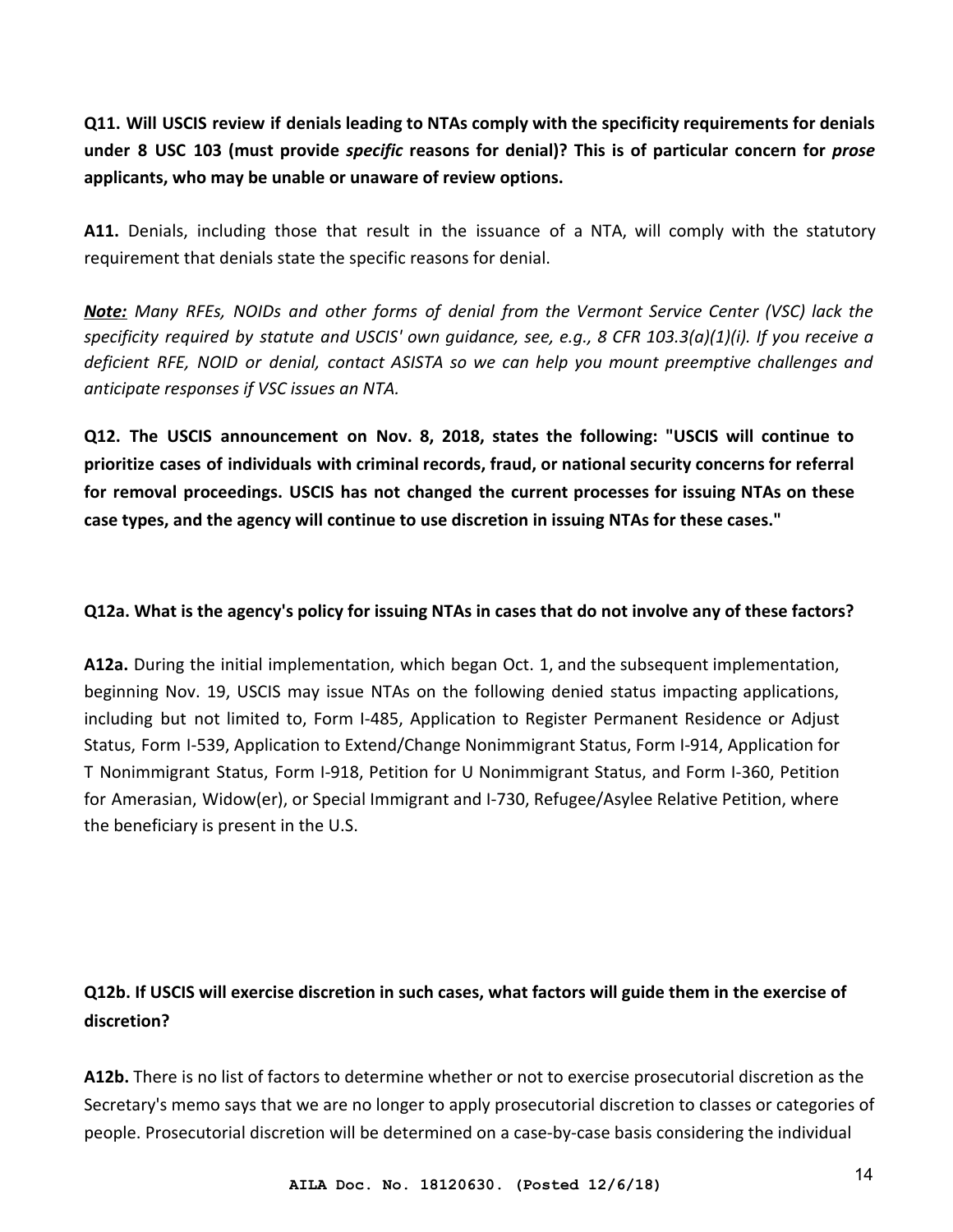**Q11. Will USCIS review if denials leading to NTAs comply with the specificity requirements for denials under 8 USC 103 (must provide** *specific* **reasons for denial)? This is of particular concern for** *prose* **applicants, who may be unable or unaware of review options.**

**A11.** Denials, including those that result in the issuance of a NTA, will comply with the statutory requirement that denials state the specific reasons for denial.

*Note: Many RFEs, NOIDs and other forms of denial from the Vermont Service Center (VSC) lack the specificity required by statute and USCIS' own guidance, see, e.g., 8 CFR 103.3(a)(1)(i). If you receive a deficient RFE, NOID or denial, contact ASISTA so we can help you mount preemptive challenges and anticipate responses if VSC issues an NTA.*

**Q12. The USCIS announcement on Nov. 8, 2018, states the following: "USCIS will continue to prioritize cases of individuals with criminal records, fraud, or national security concerns for referral for removal proceedings. USCIS has not changed the current processes for issuing NTAs on these case types, and the agency will continue to use discretion in issuing NTAs for these cases."**

#### **Q12a. What is the agency's policy for issuing NTAs in cases that do not involve any of these factors?**

**A12a.** During the initial implementation, which began Oct. 1, and the subsequent implementation, beginning Nov. 19, USCIS may issue NTAs on the following denied status impacting applications, including but not limited to, Form I-485, Application to Register Permanent Residence or Adjust Status, Form I-539, Application to Extend/Change Nonimmigrant Status, Form I-914, Application for T Nonimmigrant Status, Form I-918, Petition for U Nonimmigrant Status, and Form I-360, Petition for Amerasian, Widow(er), or Special Immigrant and I-730, Refugee/Asylee Relative Petition, where the beneficiary is present in the U.S.

# **Q12b. If USCIS will exercise discretion in such cases, what factors will guide them in the exercise of discretion?**

**A12b.** There is no list of factors to determine whether or not to exercise prosecutorial discretion as the Secretary's memo says that we are no longer to apply prosecutorial discretion to classes or categories of people. Prosecutorial discretion will be determined on a case-by-case basis considering the individual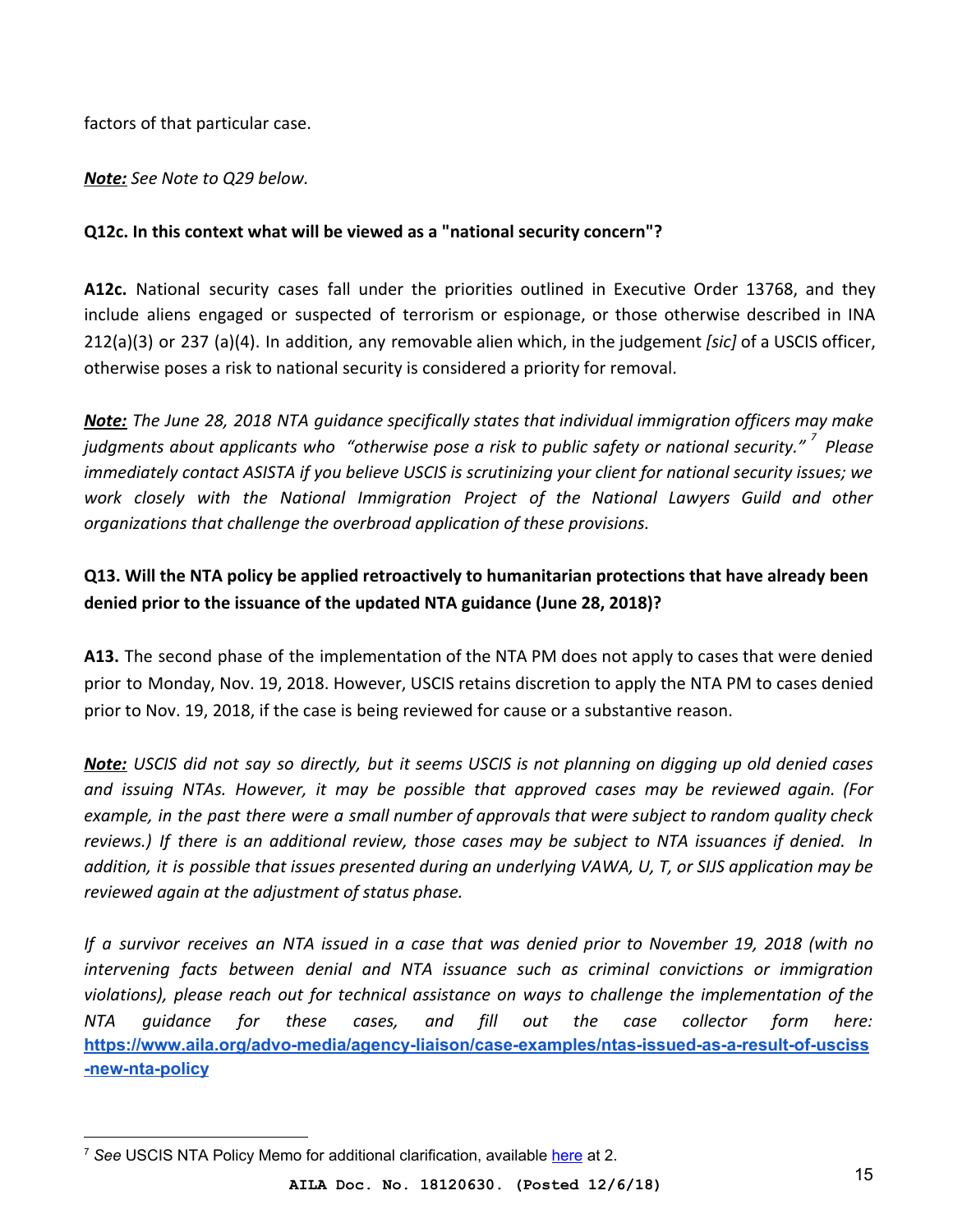factors of that particular case.

*Note: See Note to Q29 below.*

#### **Q12c. In this context what will be viewed as a "national security concern"?**

**A12c.** National security cases fall under the priorities outlined in Executive Order 13768, and they include aliens engaged or suspected of terrorism or espionage, or those otherwise described in INA 212(a)(3) or 237 (a)(4). In addition, any removable alien which, in the judgement *[sic]* of a USCIS officer, otherwise poses a risk to national security is considered a priority for removal.

*Note: The June 28, 2018 NTA guidance specifically states that individual immigration officers may make judgments about applicants who "otherwise pose a risk to public safety or national security." Please <sup>7</sup> immediately contact ASISTA if you believe USCIS is scrutinizing your client for national security issues; we work closely with the National Immigration Project of the National Lawyers Guild and other organizations that challenge the overbroad application of these provisions.*

## **Q13. Will the NTA policy be applied retroactively to humanitarian protections that have already been denied prior to the issuance of the updated NTA guidance (June 28, 2018)?**

**A13.** The second phase of the implementation of the NTA PM does not apply to cases that were denied prior to Monday, Nov. 19, 2018. However, USCIS retains discretion to apply the NTA PM to cases denied prior to Nov. 19, 2018, if the case is being reviewed for cause or a substantive reason.

*Note: USCIS did not say so directly, but it seems USCIS is not planning on digging up old denied cases and issuing NTAs. However, it may be possible that approved cases may be reviewed again. (For example, in the past there were a small number of approvals that were subject to random quality check reviews.) If there is an additional review, those cases may be subject to NTA issuances if denied. In addition, it is possible that issues presented during an underlying VAWA, U, T, or SIJS application may be reviewed again at the adjustment of status phase.*

*If a survivor receives an NTA issued in a case that was denied prior to November 19, 2018 (with no intervening facts between denial and NTA issuance such as criminal convictions or immigration violations), please reach out for technical assistance on ways to challenge the implementation of the NTA guidance for these cases, and fill out the case collector form here:* **[https://www.aila.org/advo-media/agency-liaison/case-examples/ntas-issued-as-a-result-of-usciss](https://www.aila.org/advo-media/agency-liaison/case-examples/ntas-issued-as-a-result-of-usciss-new-nta-policy) [-new-nta-policy](https://www.aila.org/advo-media/agency-liaison/case-examples/ntas-issued-as-a-result-of-usciss-new-nta-policy)**

<sup>&</sup>lt;sup>7</sup> See USCIS NTA Policy Memo for additional clarification, available [here](https://www.uscis.gov/sites/default/files/USCIS/Laws/Memoranda/2018/2018-06-28-PM-602-0050.1-Guidance-for-Referral-of-Cases-and-Issuance-of-NTA.pdf) at 2.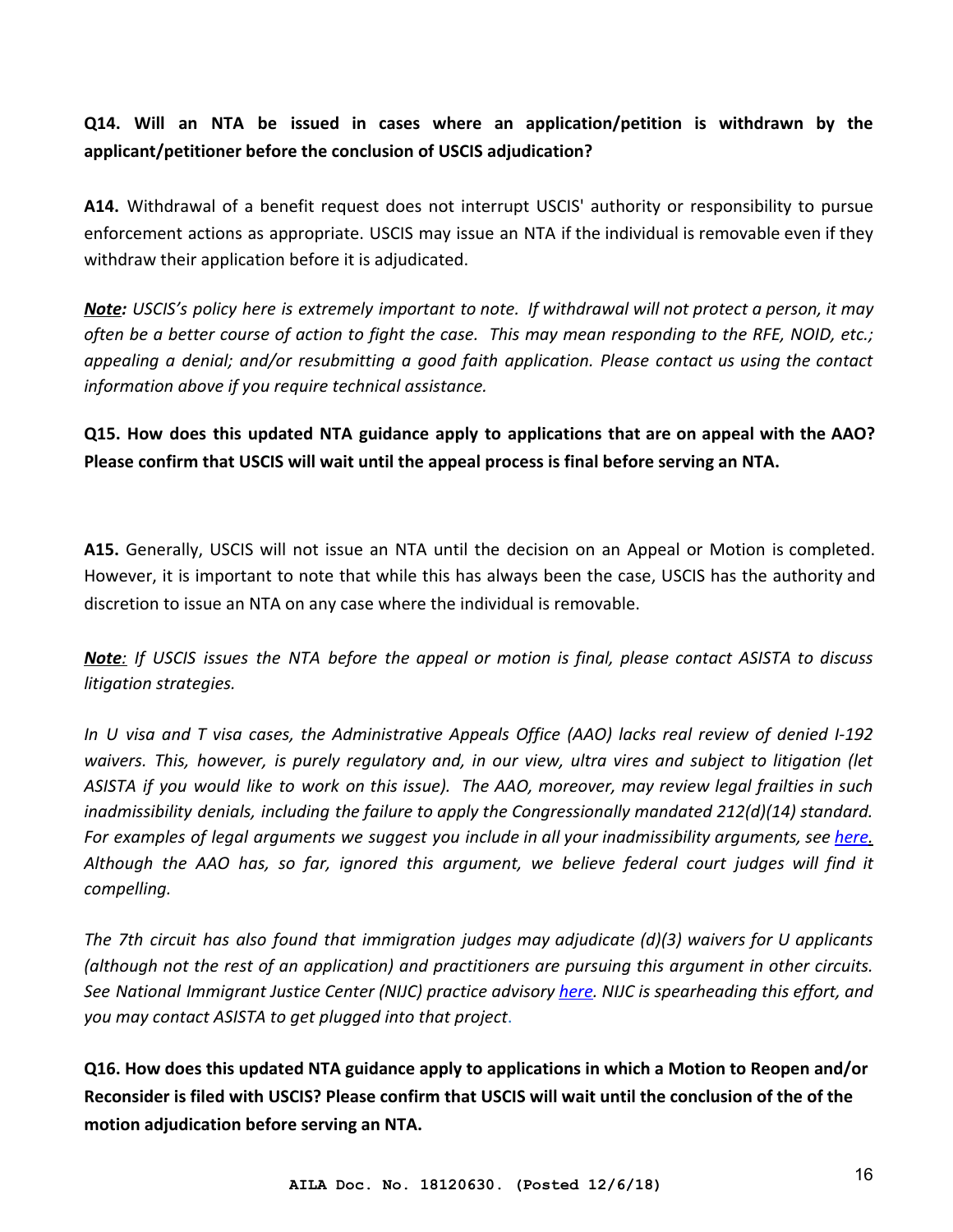**Q14. Will an NTA be issued in cases where an application/petition is withdrawn by the applicant/petitioner before the conclusion of USCIS adjudication?**

**A14.** Withdrawal of a benefit request does not interrupt USCIS' authority or responsibility to pursue enforcement actions as appropriate. USCIS may issue an NTA if the individual is removable even if they withdraw their application before it is adjudicated.

*Note: USCIS's policy here is extremely important to note. If withdrawal will not protect a person, it may often be a better course of action to fight the case. This may mean responding to the RFE, NOID, etc.; appealing a denial; and/or resubmitting a good faith application. Please contact us using the contact information above if you require technical assistance.*

**Q15. How does this updated NTA guidance apply to applications that are on appeal with the AAO? Please confirm that USCIS will wait until the appeal process is final before serving an NTA.**

**A15.** Generally, USCIS will not issue an NTA until the decision on an Appeal or Motion is completed. However, it is important to note that while this has always been the case, USCIS has the authority and discretion to issue an NTA on any case where the individual is removable.

*Note: If USCIS issues the NTA before the appeal or motion is final, please contact ASISTA to discuss litigation strategies.*

*In U visa and T visa cases, the Administrative Appeals Office (AAO) lacks real review of denied I-192 waivers. This, however, is purely regulatory and, in our view, ultra vires and subject to litigation (let ASISTA if you would like to work on this issue). The AAO, moreover, may review legal frailties in such inadmissibility denials, including the failure to apply the Congressionally mandated 212(d)(14) standard. For examples of legal arguments we suggest you include in all your inadmissibility arguments, see [here.](http://www.asistahelp.org/en/access_the_clearinghouse/u_visa/i192_waivers/) Although the AAO has, so far, ignored this argument, we believe federal court judges will find it compelling.*

*The 7th circuit has also found that immigration judges may adjudicate (d)(3) waivers for U applicants (although not the rest of an application) and practitioners are pursuing this argument in other circuits. See National Immigrant Justice Center (NIJC) practice advisory [here](https://www.immigrantjustice.org/sites/default/files/uploaded-files/no-content-type/2017-12/NIJC_UvisaPracticeAdvisory_2017-12-14.pdf). NIJC is spearheading this effort, and you may contact ASISTA to get plugged into that project*.

**Q16. How does this updated NTA guidance apply to applications in which a Motion to Reopen and/or Reconsider is filed with USCIS? Please confirm that USCIS will wait until the conclusion of the of the motion adjudication before serving an NTA.**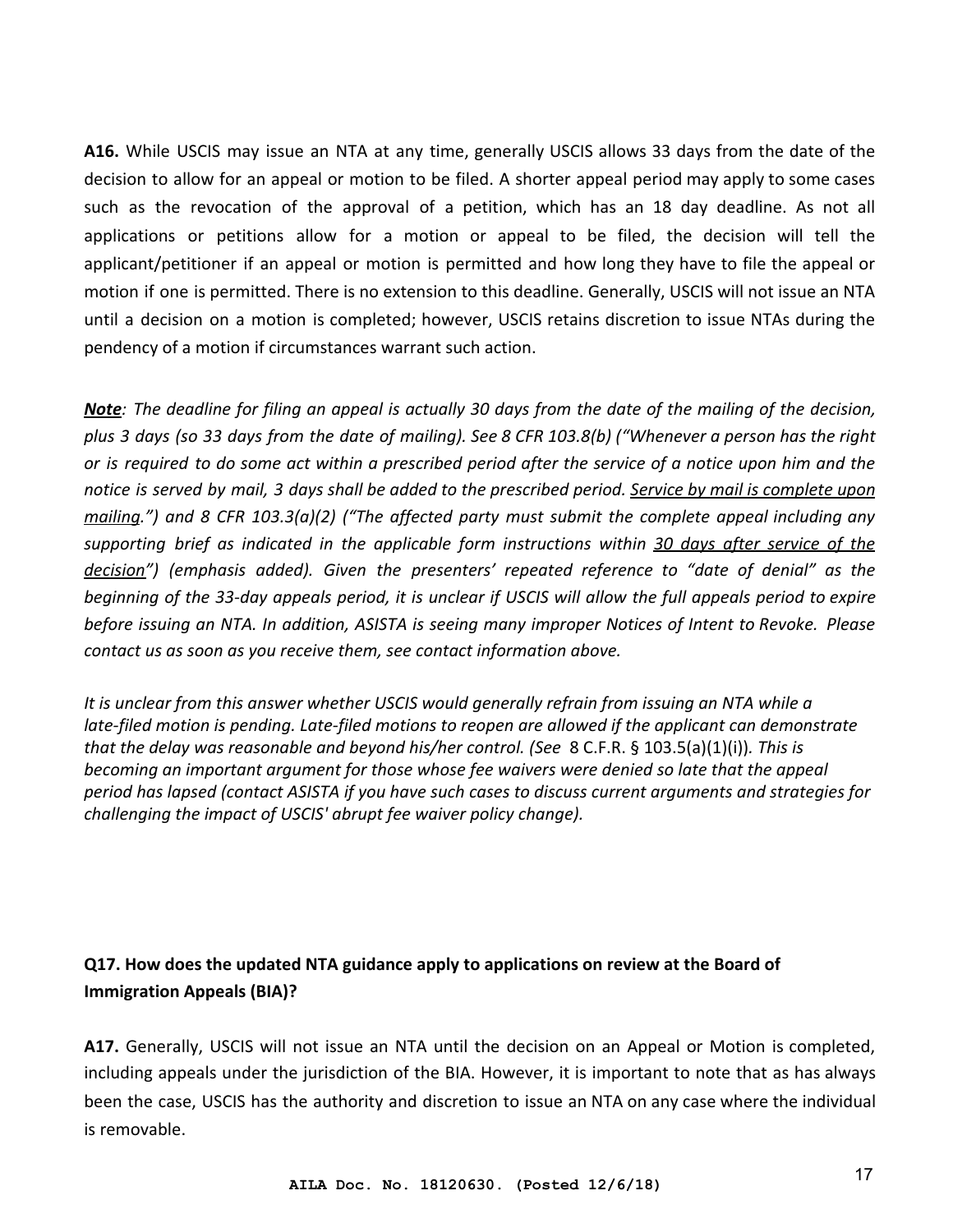**A16.** While USCIS may issue an NTA at any time, generally USCIS allows 33 days from the date of the decision to allow for an appeal or motion to be filed. A shorter appeal period may apply to some cases such as the revocation of the approval of a petition, which has an 18 day deadline. As not all applications or petitions allow for a motion or appeal to be filed, the decision will tell the applicant/petitioner if an appeal or motion is permitted and how long they have to file the appeal or motion if one is permitted. There is no extension to this deadline. Generally, USCIS will not issue an NTA until a decision on a motion is completed; however, USCIS retains discretion to issue NTAs during the pendency of a motion if circumstances warrant such action.

*Note: The deadline for filing an appeal is actually 30 days from the date of the mailing of the decision, plus 3 days (so 33 days from the date of mailing). See 8 CFR 103.8(b) ("Whenever a person has the right or is required to do some act within a prescribed period after the service of a notice upon him and the notice is served by mail, 3 days shall be added to the prescribed period. Service by mail is complete upon mailing.") and 8 CFR 103.3(a)(2) ("The affected party must submit the complete appeal including any supporting brief as indicated in the applicable form instructions within 30 days after service of the decision") (emphasis added). Given the presenters' repeated reference to "date of denial" as the beginning of the 33-day appeals period, it is unclear if USCIS will allow the full appeals period to expire before issuing an NTA. In addition, ASISTA is seeing many improper Notices of Intent to Revoke. Please contact us as soon as you receive them, see contact information above.*

*It is unclear from this answer whether USCIS would generally refrain from issuing an NTA while a late-filed motion is pending. Late-filed motions to reopen are allowed if the applicant can demonstrate that the delay was reasonable and beyond his/her control. (See* 8 C.F.R. § 103.5(a)(1)(i))*. This is becoming an important argument for those whose fee waivers were denied so late that the appeal period has lapsed (contact ASISTA if you have such cases to discuss current arguments and strategies for challenging the impact of USCIS' abrupt fee waiver policy change).*

## **Q17. How does the updated NTA guidance apply to applications on review at the Board of Immigration Appeals (BIA)?**

**A17.** Generally, USCIS will not issue an NTA until the decision on an Appeal or Motion is completed, including appeals under the jurisdiction of the BIA. However, it is important to note that as has always been the case, USCIS has the authority and discretion to issue an NTA on any case where the individual is removable.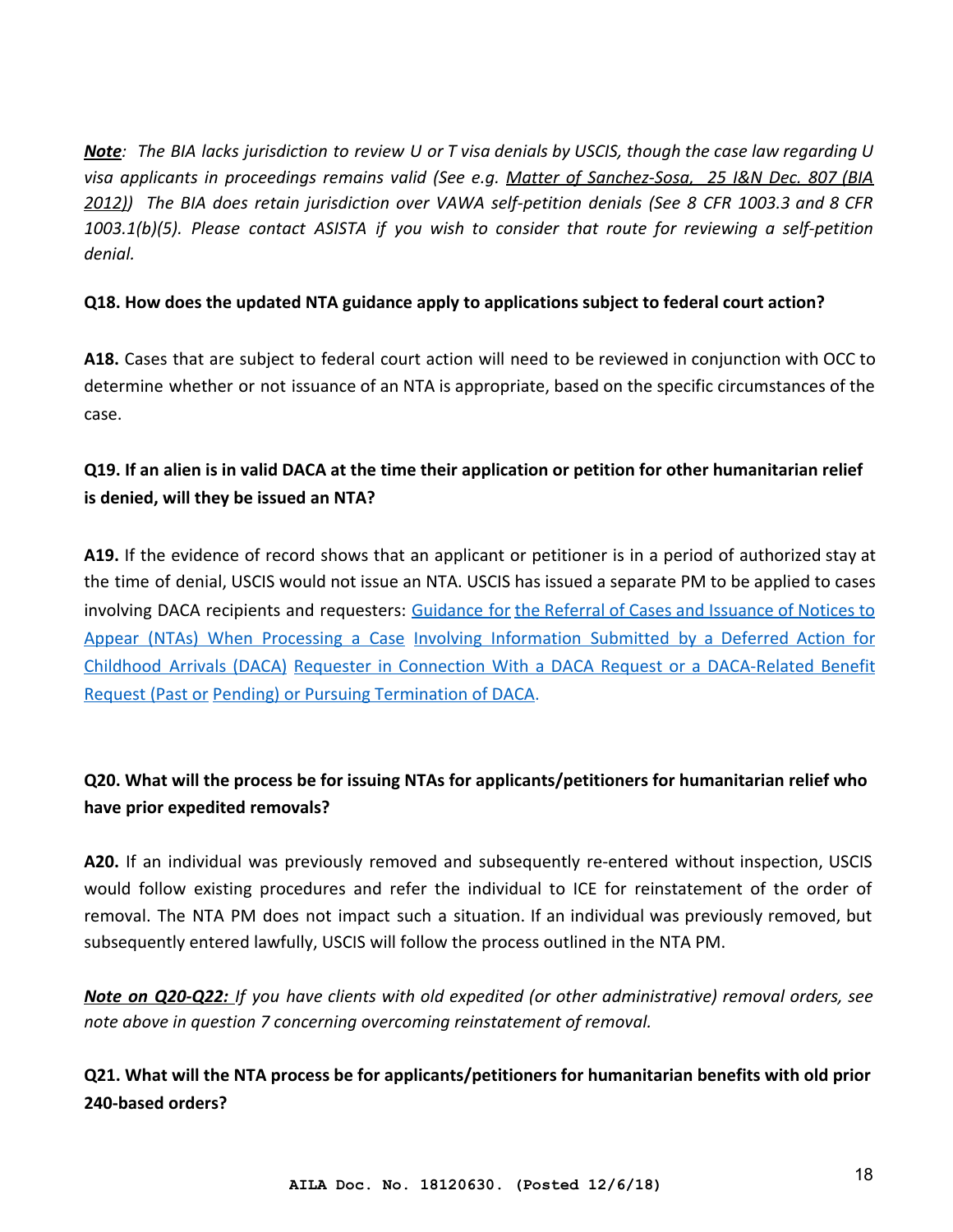*Note: The BIA lacks jurisdiction to review U or T visa denials by USCIS, though the case law regarding U visa applicants in proceedings remains valid (See e.g. [Matter of Sanchez-Sosa, 25 I&N Dec. 807 \(BIA](http://www.asistahelp.org/documents/resources/SanchezSosa_25_IN_Dec_7B25382DB0BA2.pdf) [2012\)\)](http://www.asistahelp.org/documents/resources/SanchezSosa_25_IN_Dec_7B25382DB0BA2.pdf) The BIA does retain jurisdiction over VAWA self-petition denials (See 8 CFR 1003.3 and 8 CFR 1003.1(b)(5). Please contact ASISTA if you wish to consider that route for reviewing a self-petition denial.*

#### **Q18. How does the updated NTA guidance apply to applications subject to federal court action?**

**A18.** Cases that are subject to federal court action will need to be reviewed in conjunction with OCC to determine whether or not issuance of an NTA is appropriate, based on the specific circumstances of the case.

# **Q19. If an alien is in valid DACA at the time their application or petition for other humanitarian relief is denied, will they be issued an NTA?**

**A19.** If the evidence of record shows that an applicant or petitioner is in a period of authorized stay at the time of denial, USCIS would not issue an NTA. USCIS has issued a separate PM to be applied to cases involving DACA recipients and requesters: [Guidance for](https://www.uscis.gov/sites/default/files/USCIS/Laws/Memoranda/2018/2018-06-28-PM-602-0161-DACA-Notice-to-Appear.pdf) [the Referral of Cases and Issuance of Notices to](https://www.uscis.gov/sites/default/files/USCIS/Laws/Memoranda/2018/2018-06-28-PM-602-0161-DACA-Notice-to-Appear.pdf) [Appear \(NTAs\) When Processing a Case](https://www.uscis.gov/sites/default/files/USCIS/Laws/Memoranda/2018/2018-06-28-PM-602-0161-DACA-Notice-to-Appear.pdf) [Involving Information Submitted by a Deferred Action for](https://www.uscis.gov/sites/default/files/USCIS/Laws/Memoranda/2018/2018-06-28-PM-602-0161-DACA-Notice-to-Appear.pdf) [Childhood Arrivals \(DACA\)](https://www.uscis.gov/sites/default/files/USCIS/Laws/Memoranda/2018/2018-06-28-PM-602-0161-DACA-Notice-to-Appear.pdf) [Requester in Connection With a DACA Request or a DACA-Related Benefit](https://www.uscis.gov/sites/default/files/USCIS/Laws/Memoranda/2018/2018-06-28-PM-602-0161-DACA-Notice-to-Appear.pdf) [Request \(Past or](https://www.uscis.gov/sites/default/files/USCIS/Laws/Memoranda/2018/2018-06-28-PM-602-0161-DACA-Notice-to-Appear.pdf) [Pending\) or Pursuing Termination of DACA.](https://www.uscis.gov/sites/default/files/USCIS/Laws/Memoranda/2018/2018-06-28-PM-602-0161-DACA-Notice-to-Appear.pdf)

# **Q20. What will the process be for issuing NTAs for applicants/petitioners for humanitarian relief who have prior expedited removals?**

**A20.** If an individual was previously removed and subsequently re-entered without inspection, USCIS would follow existing procedures and refer the individual to ICE for reinstatement of the order of removal. The NTA PM does not impact such a situation. If an individual was previously removed, but subsequently entered lawfully, USCIS will follow the process outlined in the NTA PM.

*Note on Q20-Q22: If you have clients with old expedited (or other administrative) removal orders, see note above in question 7 concerning overcoming reinstatement of removal.*

**Q21. What will the NTA process be for applicants/petitioners for humanitarian benefits with old prior 240-based orders?**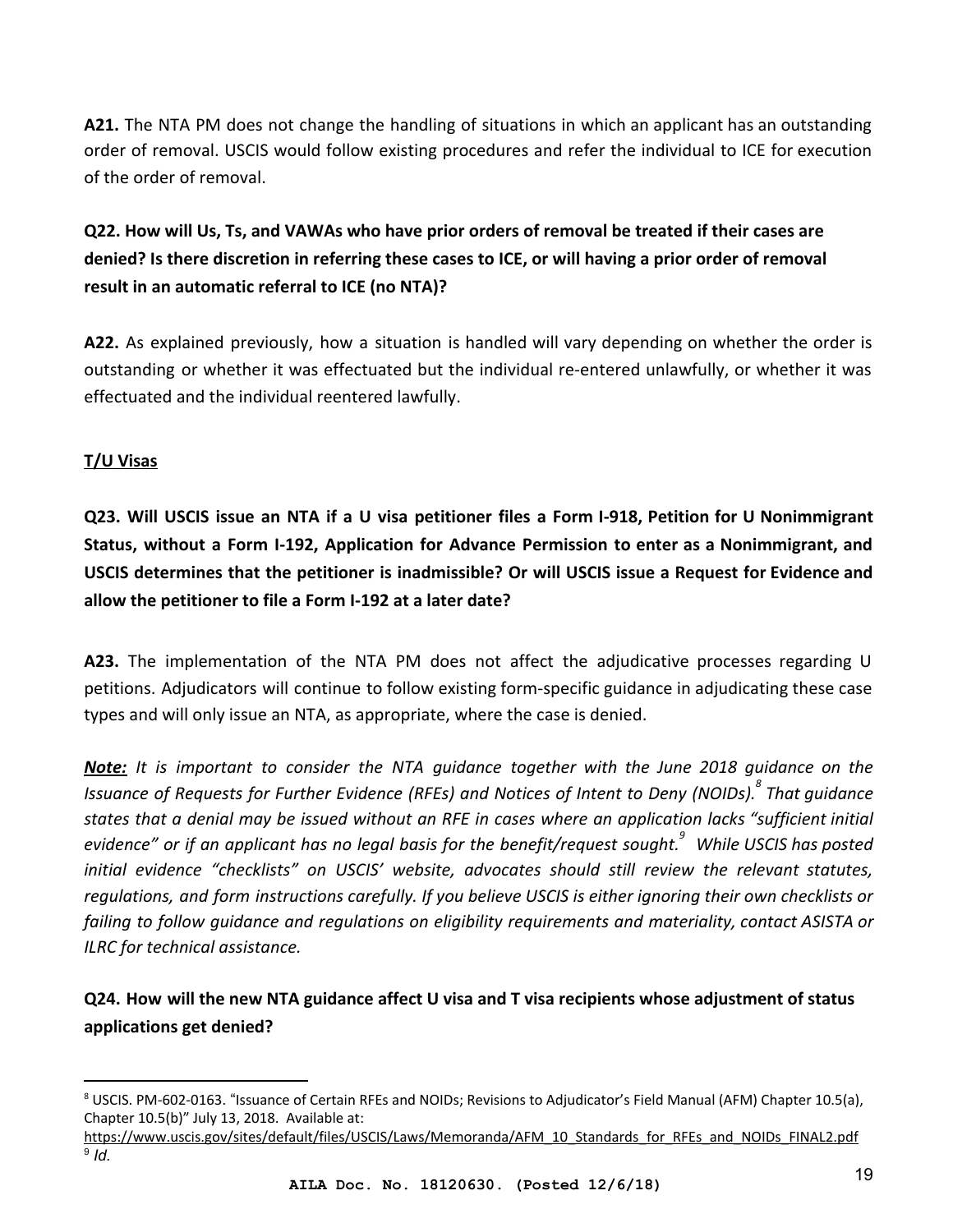**A21.** The NTA PM does not change the handling of situations in which an applicant has an outstanding order of removal. USCIS would follow existing procedures and refer the individual to ICE for execution of the order of removal.

**Q22. How will Us, Ts, and VAWAs who have prior orders of removal be treated if their cases are denied? Is there discretion in referring these cases to ICE, or will having a prior order of removal result in an automatic referral to ICE (no NTA)?**

**A22.** As explained previously, how a situation is handled will vary depending on whether the order is outstanding or whether it was effectuated but the individual re-entered unlawfully, or whether it was effectuated and the individual reentered lawfully.

#### <span id="page-18-0"></span>**T/U Visas**

**Q23. Will USCIS issue an NTA if a U visa petitioner files a Form I-918, Petition for U Nonimmigrant Status, without a Form I-192, Application for Advance Permission to enter as a Nonimmigrant, and USCIS determines that the petitioner is inadmissible? Or will USCIS issue a Request for Evidence and allow the petitioner to file a Form I-192 at a later date?**

**A23.** The implementation of the NTA PM does not affect the adjudicative processes regarding U petitions. Adjudicators will continue to follow existing form-specific guidance in adjudicating these case types and will only issue an NTA, as appropriate, where the case is denied.

*Note: It is important to consider the NTA guidance together with the June 2018 guidance on the Issuance of Requests for Further Evidence (RFEs) and Notices of Intent to Deny (NOIDs). That guidance <sup>8</sup> states that a denial may be issued without an RFE in cases where an application lacks "sufficient initial evidence" or if an applicant has no legal basis for the benefit/request sought. While USCIS has posted <sup>9</sup> initial evidence "checklists" on USCIS' website, advocates should still review the relevant statutes, regulations, and form instructions carefully. If you believe USCIS is either ignoring their own checklists or failing to follow guidance and regulations on eligibility requirements and materiality, contact ASISTA or ILRC for technical assistance.*

# **Q24. How will the new NTA guidance affect U visa and T visa recipients whose adjustment of status applications get denied?**

<sup>8</sup> USCIS. PM-602-0163. "Issuance of Certain RFEs and NOIDs; Revisions to Adjudicator's Field Manual (AFM) Chapter 10.5(a), Chapter 10.5(b)" July 13, 2018. Available at:

[https://www.uscis.gov/sites/default/files/USCIS/Laws/Memoranda/AFM\\_10\\_Standards\\_for\\_RFEs\\_and\\_NOIDs\\_FINAL2.pdf](https://www.uscis.gov/sites/default/files/USCIS/Laws/Memoranda/AFM_10_Standards_for_RFEs_and_NOIDs_FINAL2.pdf) 9 *Id.*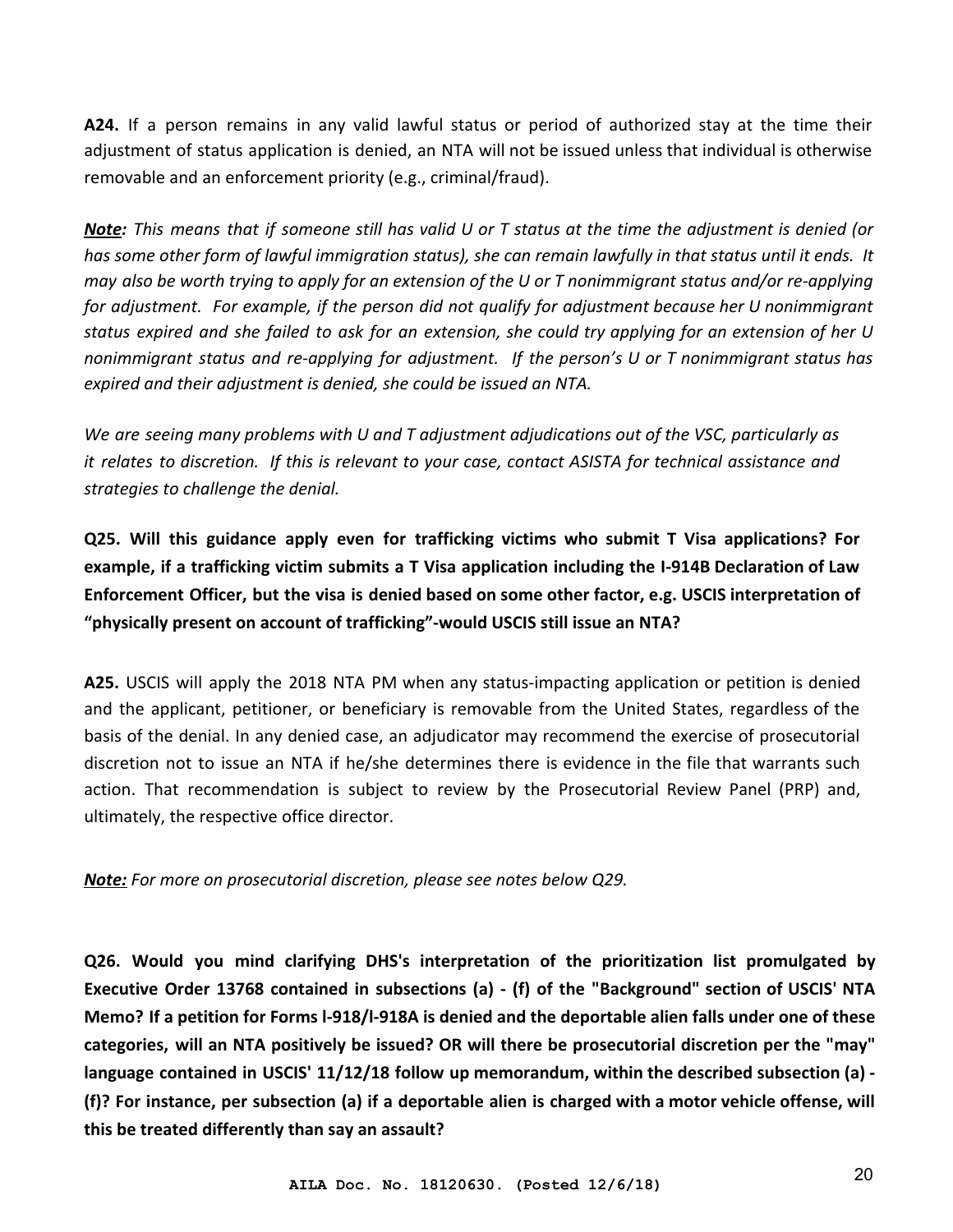**A24.** If a person remains in any valid lawful status or period of authorized stay at the time their adjustment of status application is denied, an NTA will not be issued unless that individual is otherwise removable and an enforcement priority (e.g., criminal/fraud).

*Note: This means that if someone still has valid U or T status at the time the adjustment is denied (or has some other form of lawful immigration status), she can remain lawfully in that status until it ends. It may also be worth trying to apply for an extension of the U or T nonimmigrant status and/or re-applying for adjustment. For example, if the person did not qualify for adjustment because her U nonimmigrant status expired and she failed to ask for an extension, she could try applying for an extension of her U nonimmigrant status and re-applying for adjustment. If the person's U or T nonimmigrant status has expired and their adjustment is denied, she could be issued an NTA.*

*We are seeing many problems with U and T adjustment adjudications out of the VSC, particularly as it relates to discretion. If this is relevant to your case, contact ASISTA for technical assistance and strategies to challenge the denial.*

**Q25. Will this guidance apply even for trafficking victims who submit T Visa applications? For example, if a trafficking victim submits a T Visa application including the I-914B Declaration of Law Enforcement Officer, but the visa is denied based on some other factor, e.g. USCIS interpretation of "physically present on account of trafficking"-would USCIS still issue an NTA?**

**A25.** USCIS will apply the 2018 NTA PM when any status-impacting application or petition is denied and the applicant, petitioner, or beneficiary is removable from the United States, regardless of the basis of the denial. In any denied case, an adjudicator may recommend the exercise of prosecutorial discretion not to issue an NTA if he/she determines there is evidence in the file that warrants such action. That recommendation is subject to review by the Prosecutorial Review Panel (PRP) and, ultimately, the respective office director.

*Note: For more on prosecutorial discretion, please see notes below Q29.*

**Q26. Would you mind clarifying DHS's interpretation of the prioritization list promulgated by Executive Order 13768 contained in subsections (a) - (f) of the "Background" section of USCIS' NTA Memo? If a petition for Forms l-918/l-918A is denied and the deportable alien falls under one of these categories, will an NTA positively be issued? OR will there be prosecutorial discretion per the "may" language contained in USCIS' 11/12/18 follow up memorandum, within the described subsection (a) - (f)? For instance, per subsection (a) if a deportable alien is charged with a motor vehicle offense, will this be treated differently than say an assault?**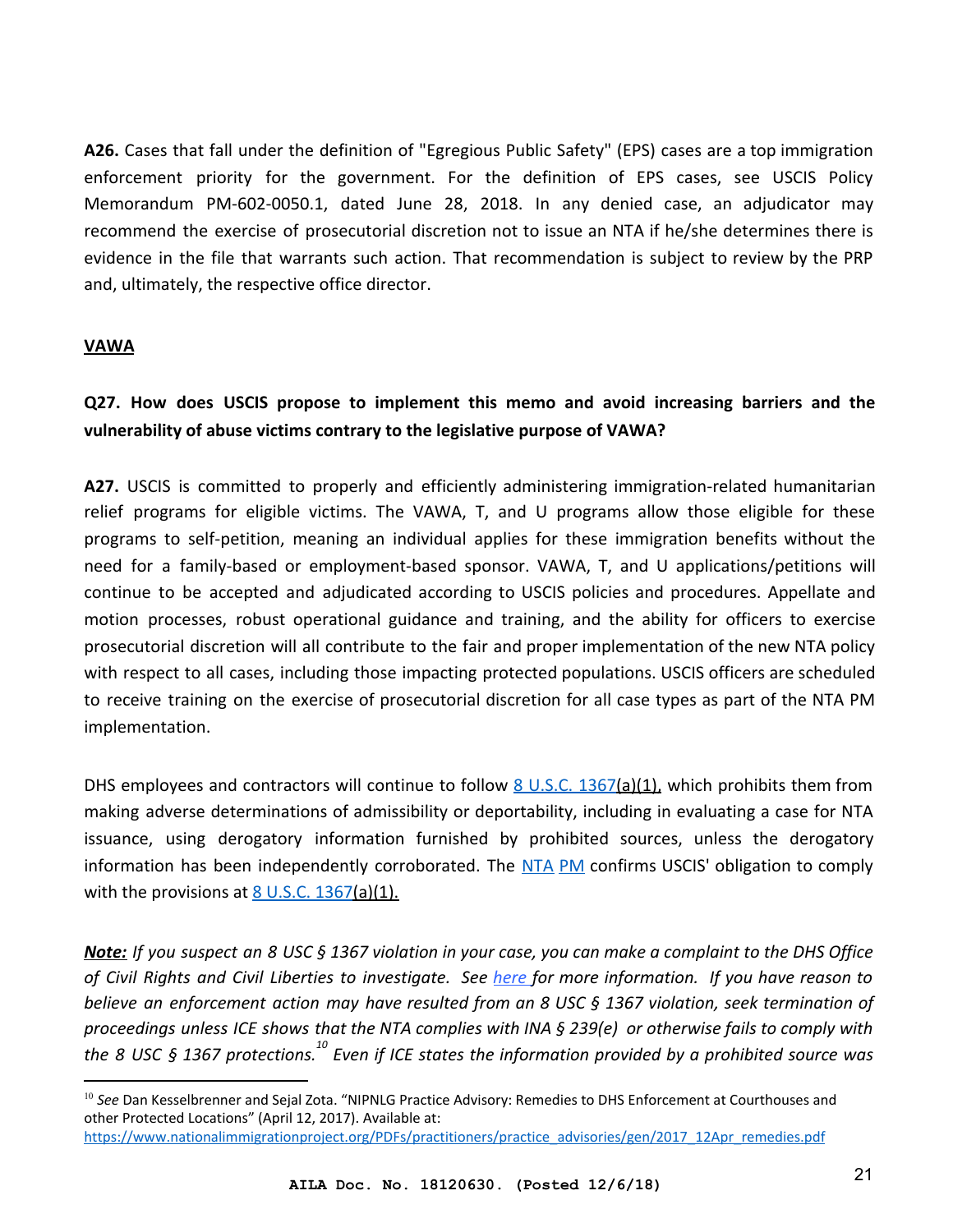**A26.** Cases that fall under the definition of "Egregious Public Safety" (EPS) cases are a top immigration enforcement priority for the government. For the definition of EPS cases, see USCIS Policy Memorandum PM-602-0050.1, dated June 28, 2018. In any denied case, an adjudicator may recommend the exercise of prosecutorial discretion not to issue an NTA if he/she determines there is evidence in the file that warrants such action. That recommendation is subject to review by the PRP and, ultimately, the respective office director.

#### <span id="page-20-0"></span>**VAWA**

## **Q27. How does USCIS propose to implement this memo and avoid increasing barriers and the vulnerability of abuse victims contrary to the legislative purpose of VAWA?**

**A27.** USCIS is committed to properly and efficiently administering immigration-related humanitarian relief programs for eligible victims. The VAWA, T, and U programs allow those eligible for these programs to self-petition, meaning an individual applies for these immigration benefits without the need for a family-based or employment-based sponsor. VAWA, T, and U applications/petitions will continue to be accepted and adjudicated according to USCIS policies and procedures. Appellate and motion processes, robust operational guidance and training, and the ability for officers to exercise prosecutorial discretion will all contribute to the fair and proper implementation of the new NTA policy with respect to all cases, including those impacting protected populations. USCIS officers are scheduled to receive training on the exercise of prosecutorial discretion for all case types as part of the NTA PM implementation.

DHS employees and contractors will continue to follow  $\underline{8 \text{ U.S.C. } 1367(a)(1)}$ , which prohibits them from making adverse determinations of admissibility or deportability, including in evaluating a case for NTA issuance, using derogatory information furnished by prohibited sources, unless the derogatory information has been independently corroborated. The [NTA](https://www.uscis.gov/sites/default/files/USCIS/Laws/Memoranda/2018/2018-06-28-PM-602-0050.1-Guidance-for-Referral-of-Cases-and-Issuance-of-NTA.pdf) [PM](https://www.uscis.gov/sites/default/files/USCIS/Laws/Memoranda/2018/2018-06-28-PM-602-0050.1-Guidance-for-Referral-of-Cases-and-Issuance-of-NTA.pdf) [c](https://www.uscis.gov/sites/default/files/USCIS/Laws/Memoranda/2018/2018-06-28-PM-602-0050.1-Guidance-for-Referral-of-Cases-and-Issuance-of-NTA.pdf)onfirms USCIS' obligation to comply with the provisions at  $8$  U.S.C. 1367(a)(1).

*Note: If you suspect an 8 USC § 1367 violation in your case, you can make a complaint to the DHS Office of Civil Rights and Civil Liberties to investigate. See [here](http://www.asistahelp.org/documents/resources/VAWA_notice_PDF_FE347B89584A0.pdf) for more information. If you have reason to believe an enforcement action may have resulted from an 8 USC § 1367 violation, seek termination of proceedings unless ICE shows that the NTA complies with INA § 239(e) or otherwise fails to comply with the 8 USC § 1367 protections.* <sup>10</sup> Even if ICE states the information provided by a prohibited source was

<sup>10</sup> *See* Dan Kesselbrenner and Sejal Zota. "NIPNLG Practice Advisory: Remedies to DHS Enforcement at Courthouses and other Protected Locations" (April 12, 2017). Available at:

[https://www.nationalimmigrationproject.org/PDFs/practitioners/practice\\_advisories/gen/2017\\_12Apr\\_remedies.pdf](https://www.nationalimmigrationproject.org/PDFs/practitioners/practice_advisories/gen/2017_12Apr_remedies.pdf)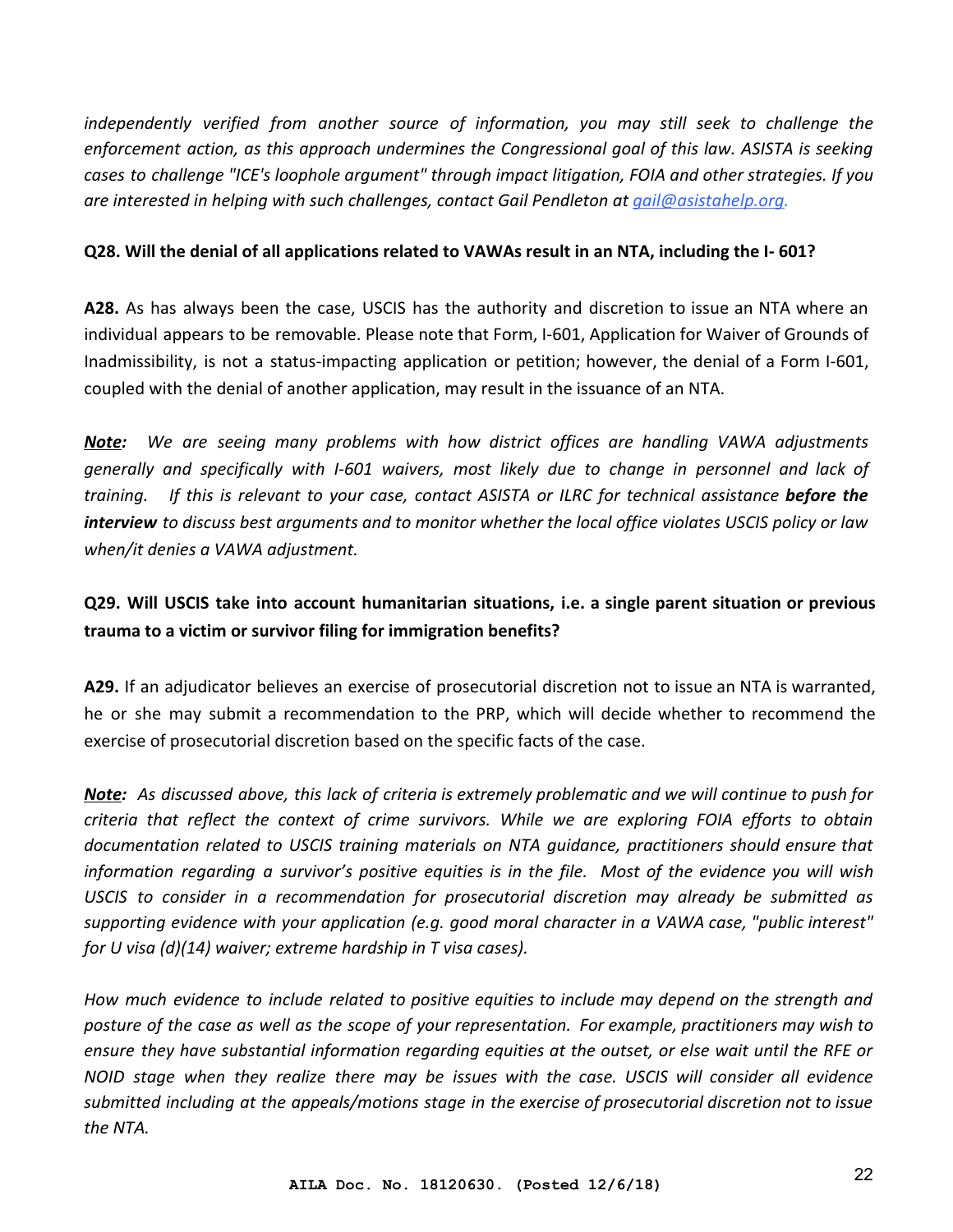*independently verified from another source of information, you may still seek to challenge the enforcement action, as this approach undermines the Congressional goal of this law. ASISTA is seeking cases to challenge "ICE's loophole argument" through impact litigation, FOIA and other strategies. If you are interested in helping with such challenges, contact Gail Pendleton at [gail@asistahelp.org](mailto:gail@asistahelp.org).*

#### **Q28. Will the denial of all applications related to VAWAs result in an NTA, including the I- 601?**

**A28.** As has always been the case, USCIS has the authority and discretion to issue an NTA where an individual appears to be removable. Please note that Form, I-601, Application for Waiver of Grounds of Inadmissibility, is not a status-impacting application or petition; however, the denial of a Form I-601, coupled with the denial of another application, may result in the issuance of an NTA.

*Note: We are seeing many problems with how district offices are handling VAWA adjustments generally and specifically with I-601 waivers, most likely due to change in personnel and lack of training. If this is relevant to your case, contact ASISTA or ILRC for technical assistance before the interview to discuss best arguments and to monitor whether the local office violates USCIS policy or law when/it denies a VAWA adjustment.*

## **Q29. Will USCIS take into account humanitarian situations, i.e. a single parent situation or previous trauma to a victim or survivor filing for immigration benefits?**

**A29.** If an adjudicator believes an exercise of prosecutorial discretion not to issue an NTA is warranted, he or she may submit a recommendation to the PRP, which will decide whether to recommend the exercise of prosecutorial discretion based on the specific facts of the case.

*Note: As discussed above, this lack of criteria is extremely problematic and we will continue to push for criteria that reflect the context of crime survivors. While we are exploring FOIA efforts to obtain documentation related to USCIS training materials on NTA guidance, practitioners should ensure that information regarding a survivor's positive equities is in the file. Most of the evidence you will wish USCIS to consider in a recommendation for prosecutorial discretion may already be submitted as supporting evidence with your application (e.g. good moral character in a VAWA case, "public interest" for U visa (d)(14) waiver; extreme hardship in T visa cases).*

*How much evidence to include related to positive equities to include may depend on the strength and posture of the case as well as the scope of your representation. For example, practitioners may wish to ensure they have substantial information regarding equities at the outset, or else wait until the RFE or NOID stage when they realize there may be issues with the case. USCIS will consider all evidence submitted including at the appeals/motions stage in the exercise of prosecutorial discretion not to issue the NTA.*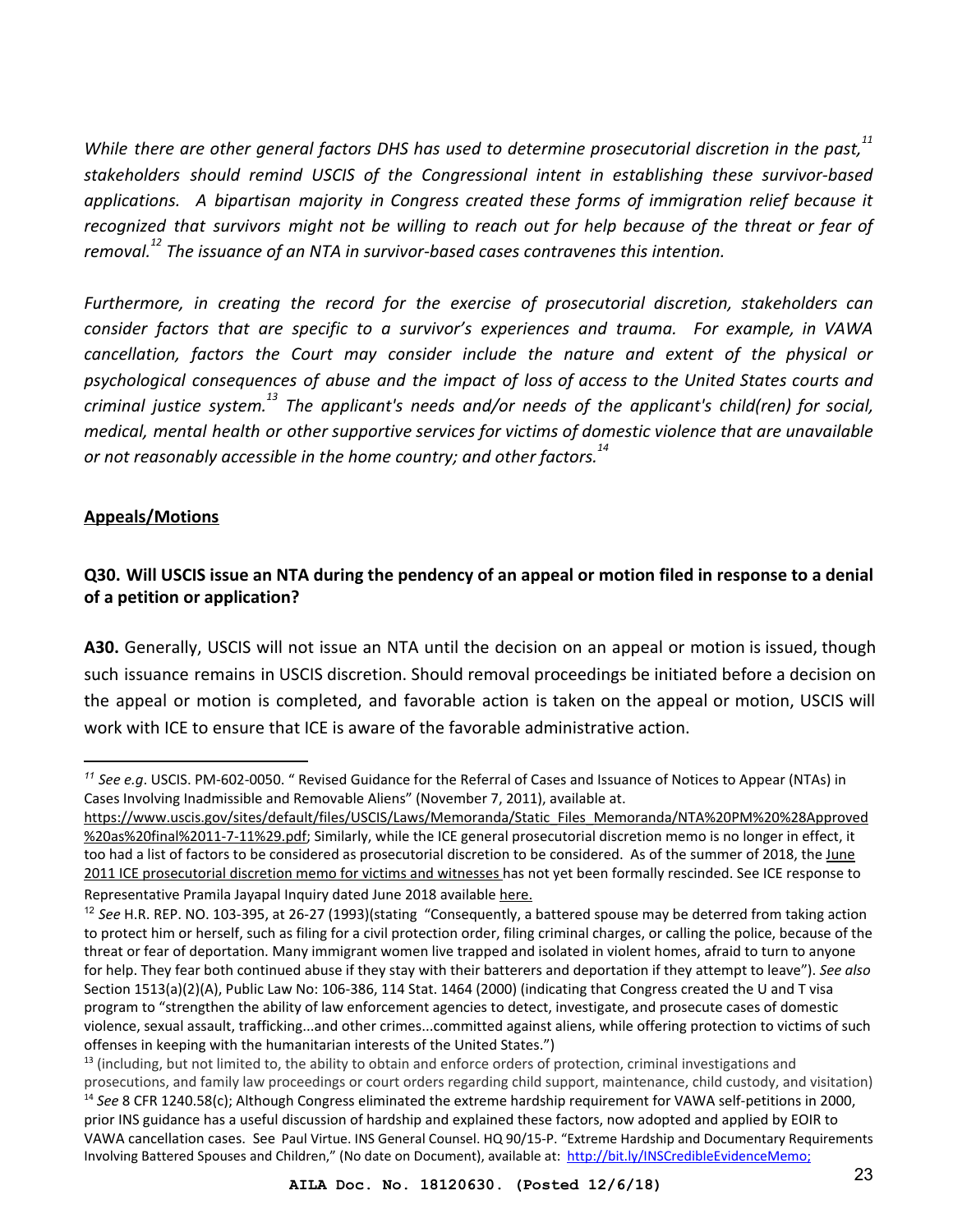*While there are other general factors DHS has used to determine prosecutorial discretion in the past,<sup>11</sup> stakeholders should remind USCIS of the Congressional intent in establishing these survivor-based applications. A bipartisan majority in Congress created these forms of immigration relief because it recognized that survivors might not be willing to reach out for help because of the threat or fear of removal.*<sup>12</sup> The issuance of an NTA in survivor-based cases contravenes this intention.

*Furthermore, in creating the record for the exercise of prosecutorial discretion, stakeholders can consider factors that are specific to a survivor's experiences and trauma. For example, in VAWA cancellation, factors the Court may consider include the nature and extent of the physical or psychological consequences of abuse and the impact of loss of access to the United States courts and criminal justice system. The applicant's needs and/or needs of the applicant's child(ren) for social, <sup>13</sup> medical, mental health or other supportive services for victims of domestic violence that are unavailable or not reasonably accessible in the home country; and other factors.<sup>14</sup>*

#### <span id="page-22-0"></span>**Appeals/Motions**

## **Q30. Will USCIS issue an NTA during the pendency of an appeal or motion filed in response to a denial of a petition or application?**

**A30.** Generally, USCIS will not issue an NTA until the decision on an appeal or motion is issued, though such issuance remains in USCIS discretion. Should removal proceedings be initiated before a decision on the appeal or motion is completed, and favorable action is taken on the appeal or motion, USCIS will work with ICE to ensure that ICE is aware of the favorable administrative action.

*<sup>11</sup> See e.g*. USCIS. PM-602-0050. " Revised Guidance for the Referral of Cases and Issuance of Notices to Appear (NTAs) in Cases Involving Inadmissible and Removable Aliens" (November 7, 2011), available at.

[https://www.uscis.gov/sites/default/files/USCIS/Laws/Memoranda/Static\\_Files\\_Memoranda/NTA%20PM%20%28Approved](https://www.uscis.gov/sites/default/files/USCIS/Laws/Memoranda/Static_Files_Memoranda/NTA%20PM%20%28Approved%20as%20final%2011-7-11%29.pdf) [%20as%20final%2011-7-11%29.pdf;](https://www.uscis.gov/sites/default/files/USCIS/Laws/Memoranda/Static_Files_Memoranda/NTA%20PM%20%28Approved%20as%20final%2011-7-11%29.pdf) Similarly, while the ICE general prosecutorial discretion memo is no longer in effect, it too had a list of factors to be considered as prosecutorial discretion to be considered. As of the summer of 2018, the [June](https://drive.google.com/file/d/1tkoapJdVaYzXlzdcR2qUu8PgI9qgNWhB/view) [2011 ICE prosecutorial discretion memo for victims and witnesses h](https://drive.google.com/file/d/1tkoapJdVaYzXlzdcR2qUu8PgI9qgNWhB/view)as not yet been formally rescinded. See ICE response to Representative Pramila Jayapal Inquiry dated June 2018 available [here.](https://drive.google.com/file/d/1tkoapJdVaYzXlzdcR2qUu8PgI9qgNWhB/view)

<sup>12</sup> *See* H.R. REP. NO. 103-395, at 26-27 (1993)(stating "Consequently, a battered spouse may be deterred from taking action to protect him or herself, such as filing for a civil protection order, filing criminal charges, or calling the police, because of the threat or fear of deportation. Many immigrant women live trapped and isolated in violent homes, afraid to turn to anyone for help. They fear both continued abuse if they stay with their batterers and deportation if they attempt to leave"). *See also* Section 1513(a)(2)(A), Public Law No: 106-386, 114 Stat. 1464 (2000) (indicating that Congress created the U and T visa program to "strengthen the ability of law enforcement agencies to detect, investigate, and prosecute cases of domestic violence, sexual assault, trafficking...and other crimes...committed against aliens, while offering protection to victims of such offenses in keeping with the humanitarian interests of the United States.")

 $<sup>13</sup>$  (including, but not limited to, the ability to obtain and enforce orders of protection, criminal investigations and</sup> prosecutions, and family law proceedings or court orders regarding child support, maintenance, child custody, and visitation) <sup>14</sup> *See* 8 CFR 1240.58(c); Although Congress eliminated the extreme hardship requirement for VAWA self-petitions in 2000, prior INS guidance has a useful discussion of hardship and explained these factors, now adopted and applied by EOIR to VAWA cancellation cases. See Paul Virtue. INS General Counsel. HQ 90/15-P. "Extreme Hardship and Documentary Requirements Involving Battered Spouses and Children," (No date on Document), available at: [http://bit.ly/INSCredibleEvidenceMemo;](http://bit.ly/INSCredibleEvidenceMemo)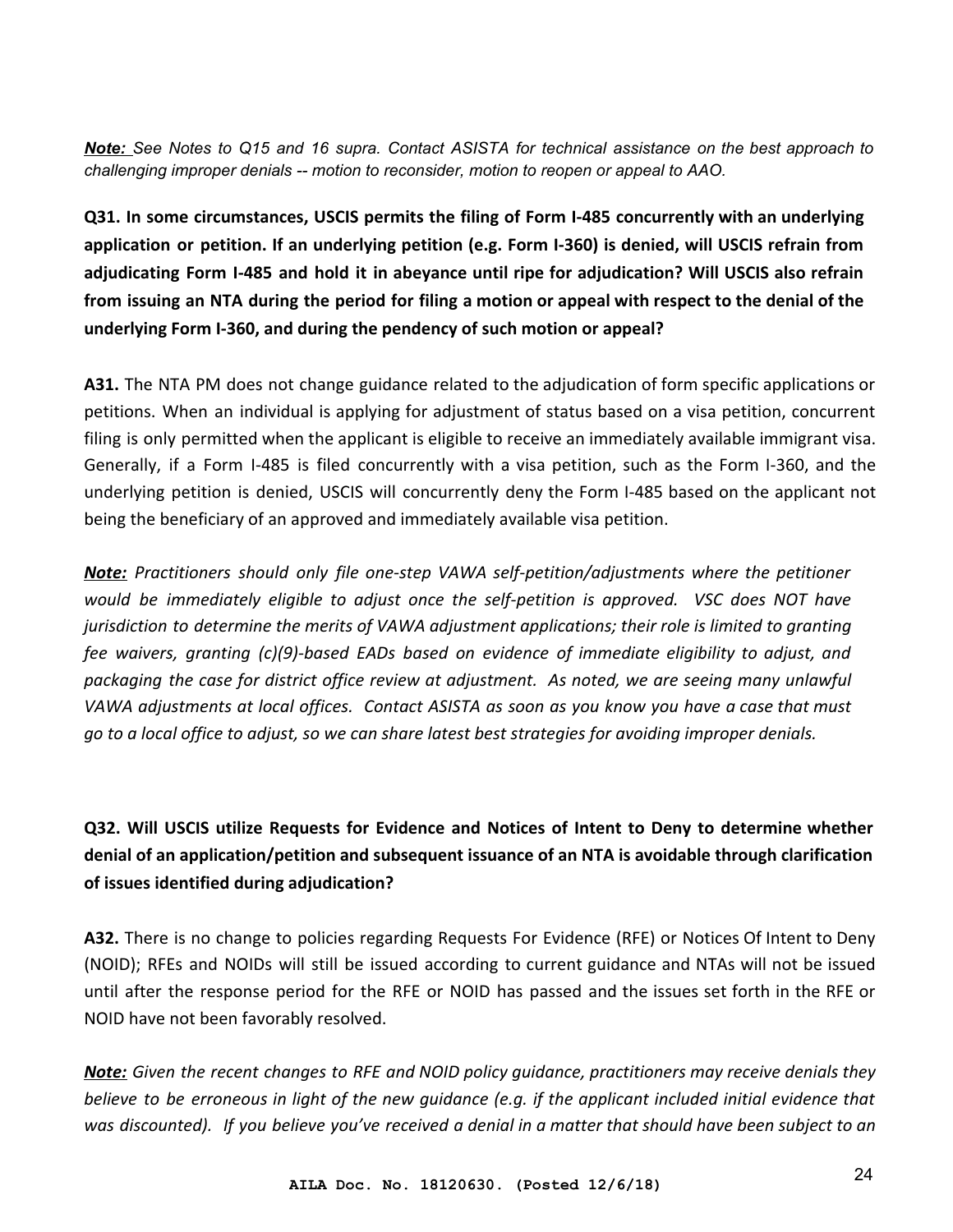*Note: See Notes to Q15 and 16 supra. Contact ASISTA for technical assistance on the best approach to challenging improper denials -- motion to reconsider, motion to reopen or appeal to AAO.*

**Q31. In some circumstances, USCIS permits the filing of Form I-485 concurrently with an underlying application or petition. If an underlying petition (e.g. Form I-360) is denied, will USCIS refrain from adjudicating Form I-485 and hold it in abeyance until ripe for adjudication? Will USCIS also refrain from issuing an NTA during the period for filing a motion or appeal with respect to the denial of the underlying Form I-360, and during the pendency of such motion or appeal?**

**A31.** The NTA PM does not change guidance related to the adjudication of form specific applications or petitions. When an individual is applying for adjustment of status based on a visa petition, concurrent filing is only permitted when the applicant is eligible to receive an immediately available immigrant visa. Generally, if a Form I-485 is filed concurrently with a visa petition, such as the Form I-360, and the underlying petition is denied, USCIS will concurrently deny the Form I-485 based on the applicant not being the beneficiary of an approved and immediately available visa petition.

*Note: Practitioners should only file one-step VAWA self-petition/adjustments where the petitioner would be immediately eligible to adjust once the self-petition is approved. VSC does NOT have jurisdiction to determine the merits of VAWA adjustment applications; their role is limited to granting fee waivers, granting (c)(9)-based EADs based on evidence of immediate eligibility to adjust, and packaging the case for district office review at adjustment. As noted, we are seeing many unlawful VAWA adjustments at local offices. Contact ASISTA as soon as you know you have a case that must go to a local office to adjust, so we can share latest best strategies for avoiding improper denials.*

**Q32. Will USCIS utilize Requests for Evidence and Notices of Intent to Deny to determine whether denial of an application/petition and subsequent issuance of an NTA is avoidable through clarification of issues identified during adjudication?**

**A32.** There is no change to policies regarding Requests For Evidence (RFE) or Notices Of Intent to Deny (NOID); RFEs and NOIDs will still be issued according to current guidance and NTAs will not be issued until after the response period for the RFE or NOID has passed and the issues set forth in the RFE or NOID have not been favorably resolved.

*Note: Given the recent changes to RFE and NOID policy guidance, practitioners may receive denials they believe to be erroneous in light of the new guidance (e.g. if the applicant included initial evidence that was discounted). If you believe you've received a denial in a matter that should have been subject to an*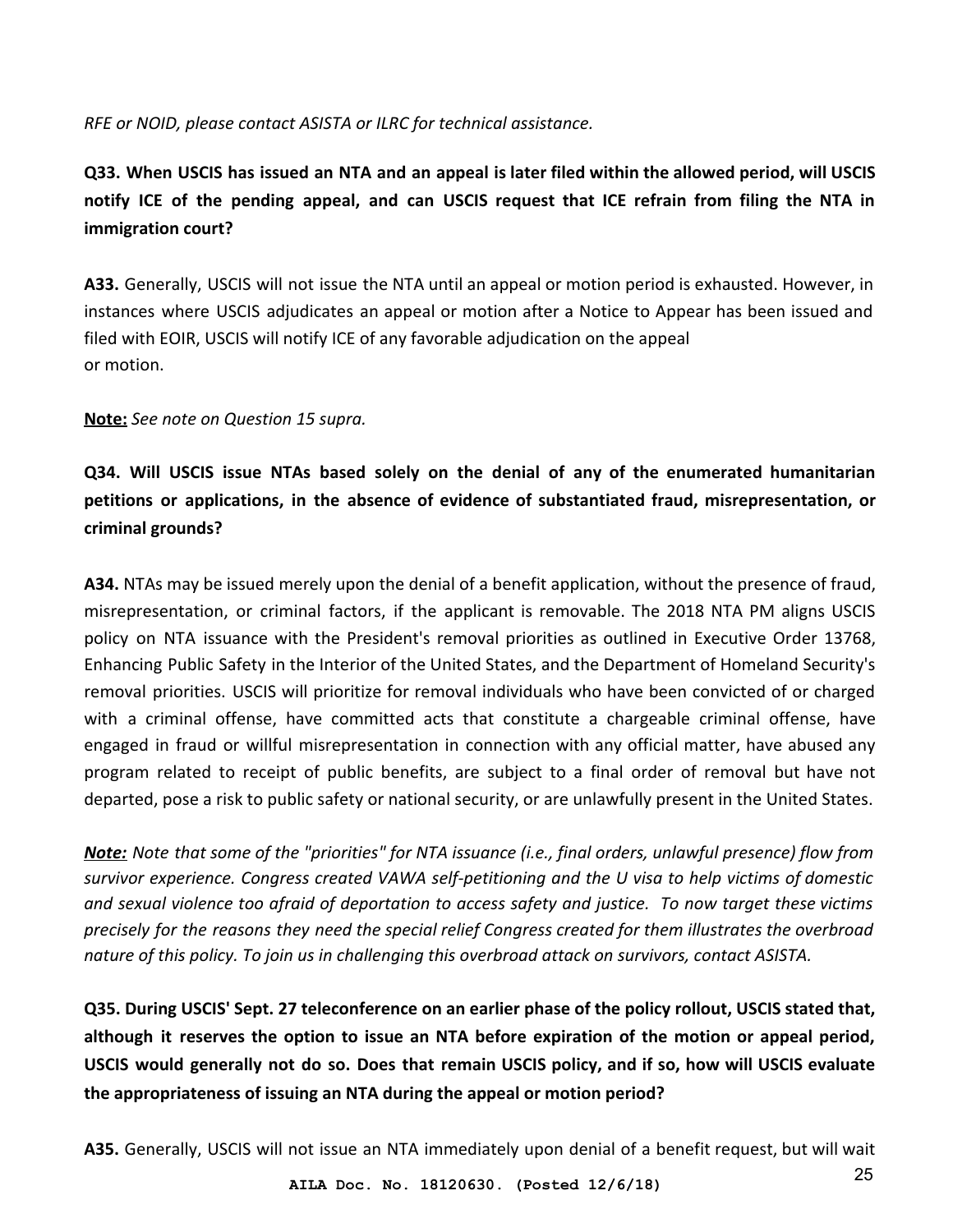#### *RFE or NOID, please contact ASISTA or ILRC for technical assistance.*

**Q33. When USCIS has issued an NTA and an appeal is later filed within the allowed period, will USCIS notify ICE of the pending appeal, and can USCIS request that ICE refrain from filing the NTA in immigration court?**

**A33.** Generally, USCIS will not issue the NTA until an appeal or motion period is exhausted. However, in instances where USCIS adjudicates an appeal or motion after a Notice to Appear has been issued and filed with EOIR, USCIS will notify ICE of any favorable adjudication on the appeal or motion.

#### **Note:** *See note on Question 15 supra.*

**Q34. Will USCIS issue NTAs based solely on the denial of any of the enumerated humanitarian petitions or applications, in the absence of evidence of substantiated fraud, misrepresentation, or criminal grounds?**

**A34.** NTAs may be issued merely upon the denial of a benefit application, without the presence of fraud, misrepresentation, or criminal factors, if the applicant is removable. The 2018 NTA PM aligns USCIS policy on NTA issuance with the President's removal priorities as outlined in Executive Order 13768, Enhancing Public Safety in the Interior of the United States, and the Department of Homeland Security's removal priorities. USCIS will prioritize for removal individuals who have been convicted of or charged with a criminal offense, have committed acts that constitute a chargeable criminal offense, have engaged in fraud or willful misrepresentation in connection with any official matter, have abused any program related to receipt of public benefits, are subject to a final order of removal but have not departed, pose a risk to public safety or national security, or are unlawfully present in the United States.

*Note: Note that some of the "priorities" for NTA issuance (i.e., final orders, unlawful presence) flow from survivor experience. Congress created VAWA self-petitioning and the U visa to help victims of domestic and sexual violence too afraid of deportation to access safety and justice. To now target these victims precisely for the reasons they need the special relief Congress created for them illustrates the overbroad nature of this policy. To join us in challenging this overbroad attack on survivors, contact ASISTA.*

**Q35. During USCIS' Sept. 27 teleconference on an earlier phase of the policy rollout, USCIS stated that, although it reserves the option to issue an NTA before expiration of the motion or appeal period, USCIS would generally not do so. Does that remain USCIS policy, and if so, how will USCIS evaluate the appropriateness of issuing an NTA during the appeal or motion period?**

**A35.** Generally, USCIS will not issue an NTA immediately upon denial of a benefit request, but will wait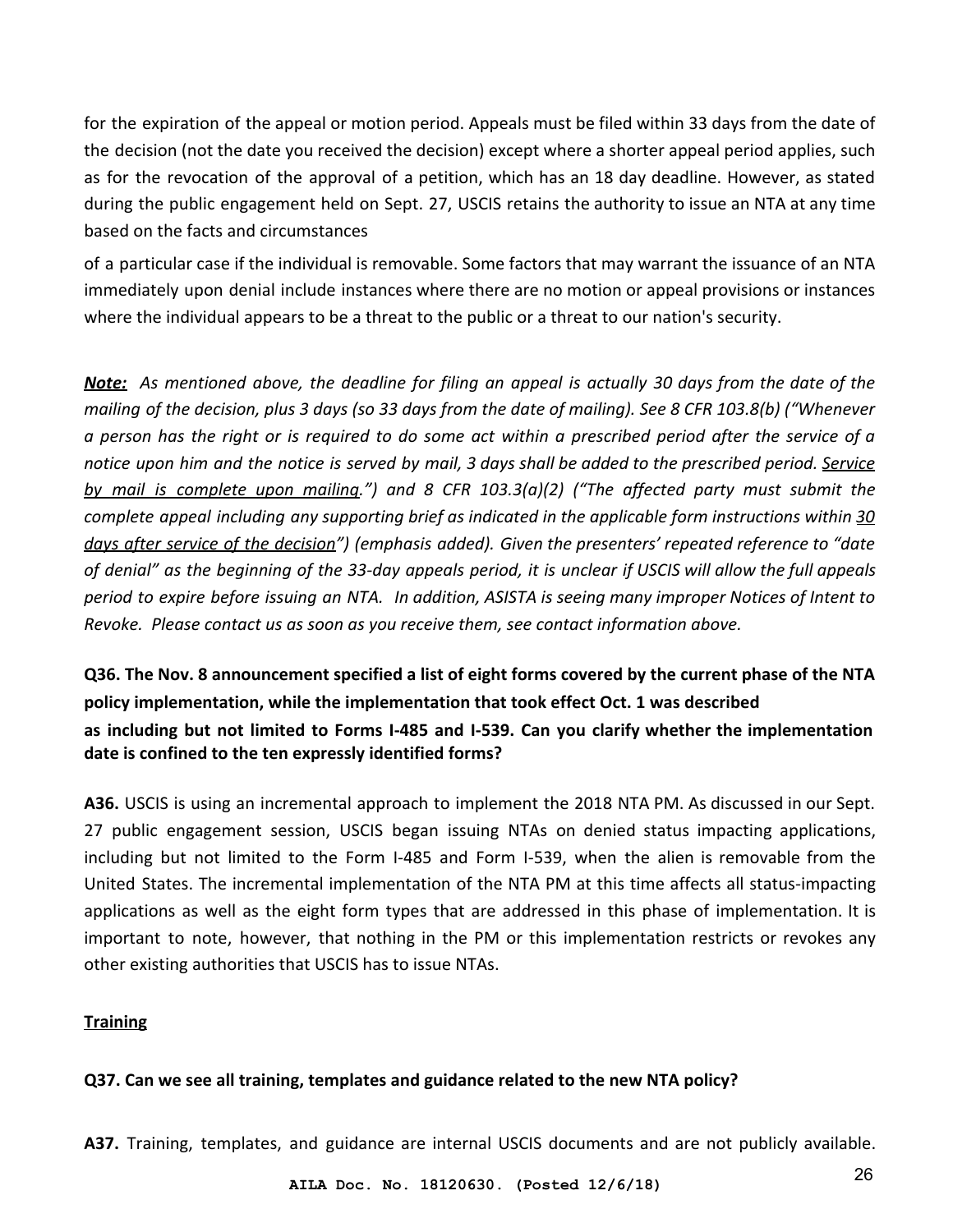for the expiration of the appeal or motion period. Appeals must be filed within 33 days from the date of the decision (not the date you received the decision) except where a shorter appeal period applies, such as for the revocation of the approval of a petition, which has an 18 day deadline. However, as stated during the public engagement held on Sept. 27, USCIS retains the authority to issue an NTA at any time based on the facts and circumstances

of a particular case if the individual is removable. Some factors that may warrant the issuance of an NTA immediately upon denial include instances where there are no motion or appeal provisions or instances where the individual appears to be a threat to the public or a threat to our nation's security.

*Note: As mentioned above, the deadline for filing an appeal is actually 30 days from the date of the mailing of the decision, plus 3 days (so 33 days from the date of mailing). See 8 CFR 103.8(b) ("Whenever a person has the right or is required to do some act within a prescribed period after the service of a notice upon him and the notice is served by mail, 3 days shall be added to the prescribed period. Service by mail is complete upon mailing.") and 8 CFR 103.3(a)(2) ("The affected party must submit the complete appeal including any supporting brief as indicated in the applicable form instructions within 30 days after service of the decision") (emphasis added). Given the presenters' repeated reference to "date of denial" as the beginning of the 33-day appeals period, it is unclear if USCIS will allow the full appeals period to expire before issuing an NTA. In addition, ASISTA is seeing many improper Notices of Intent to Revoke. Please contact us as soon as you receive them, see contact information above.*

**Q36. The Nov. 8 announcement specified a list of eight forms covered by the current phase of the NTA policy implementation, while the implementation that took effect Oct. 1 was described as including but not limited to Forms I-485 and I-539. Can you clarify whether the implementation date is confined to the ten expressly identified forms?**

**A36.** USCIS is using an incremental approach to implement the 2018 NTA PM. As discussed in our Sept. 27 public engagement session, USCIS began issuing NTAs on denied status impacting applications, including but not limited to the Form I-485 and Form I-539, when the alien is removable from the United States. The incremental implementation of the NTA PM at this time affects all status-impacting applications as well as the eight form types that are addressed in this phase of implementation. It is important to note, however, that nothing in the PM or this implementation restricts or revokes any other existing authorities that USCIS has to issue NTAs.

#### <span id="page-25-0"></span>**Training**

#### **Q37. Can we see all training, templates and guidance related to the new NTA policy?**

**A37.** Training, templates, and guidance are internal USCIS documents and are not publicly available.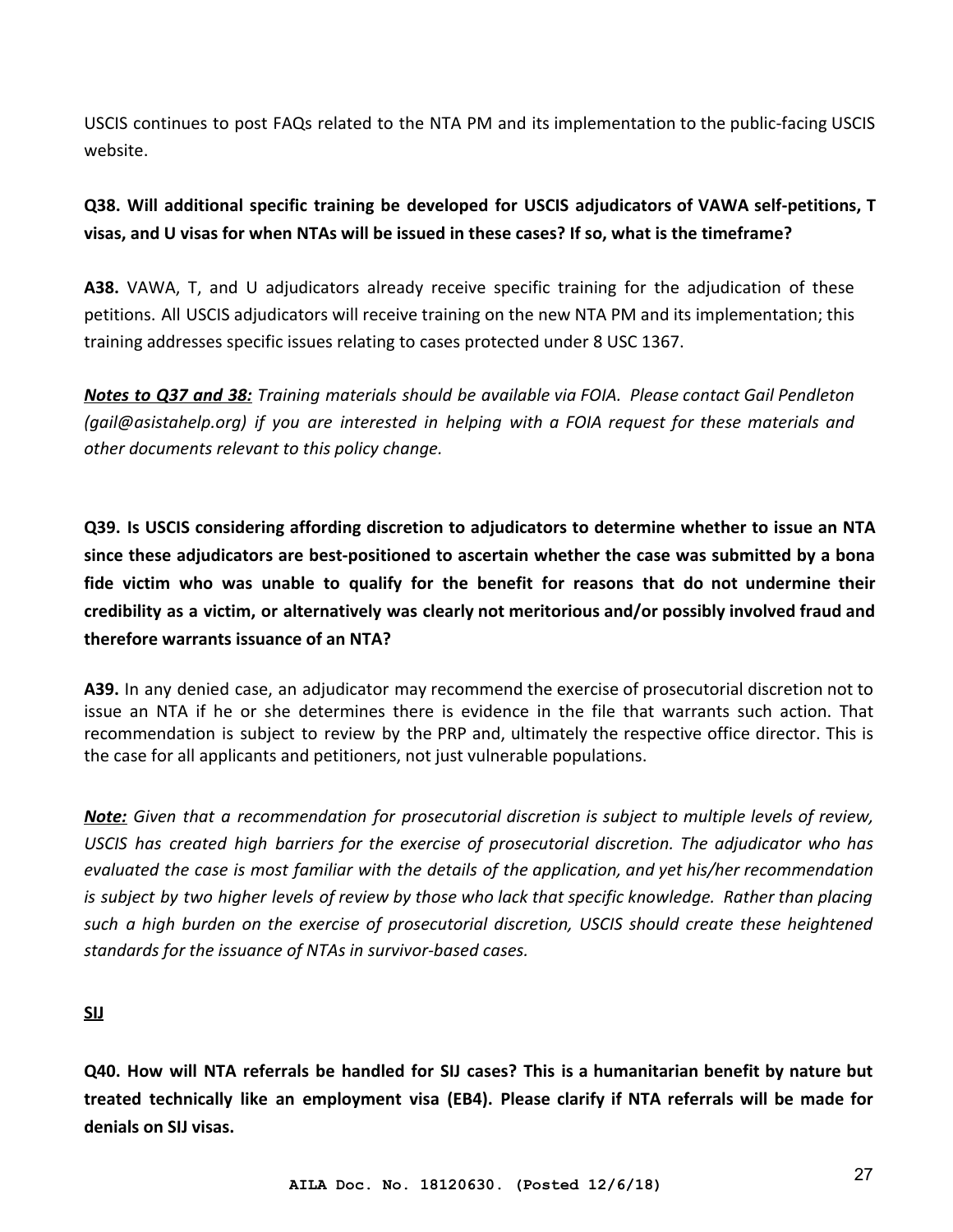USCIS continues to post FAQs related to the NTA PM and its implementation to the public-facing USCIS website.

## **Q38. Will additional specific training be developed for USCIS adjudicators of VAWA self-petitions, T visas, and U visas for when NTAs will be issued in these cases? If so, what is the timeframe?**

**A38.** VAWA, T, and U adjudicators already receive specific training for the adjudication of these petitions. All USCIS adjudicators will receive training on the new NTA PM and its implementation; this training addresses specific issues relating to cases protected under 8 USC 1367.

*Notes to Q37 and 38: Training materials should be available via FOIA. Please contact Gail Pendleton (gail@asistahelp.org) if you are interested in helping with a FOIA request for these materials and other documents relevant to this policy change.*

**Q39. Is USCIS considering affording discretion to adjudicators to determine whether to issue an NTA since these adjudicators are best-positioned to ascertain whether the case was submitted by a bona fide victim who was unable to qualify for the benefit for reasons that do not undermine their credibility as a victim, or alternatively was clearly not meritorious and/or possibly involved fraud and therefore warrants issuance of an NTA?**

**A39.** In any denied case, an adjudicator may recommend the exercise of prosecutorial discretion not to issue an NTA if he or she determines there is evidence in the file that warrants such action. That recommendation is subject to review by the PRP and, ultimately the respective office director. This is the case for all applicants and petitioners, not just vulnerable populations.

*Note: Given that a recommendation for prosecutorial discretion is subject to multiple levels of review, USCIS has created high barriers for the exercise of prosecutorial discretion. The adjudicator who has evaluated the case is most familiar with the details of the application, and yet his/her recommendation is subject by two higher levels of review by those who lack that specific knowledge. Rather than placing such a high burden on the exercise of prosecutorial discretion, USCIS should create these heightened standards for the issuance of NTAs in survivor-based cases.*

<span id="page-26-0"></span>**SIJ**

**Q40. How will NTA referrals be handled for SIJ cases? This is a humanitarian benefit by nature but treated technically like an employment visa (EB4). Please clarify if NTA referrals will be made for denials on SIJ visas.**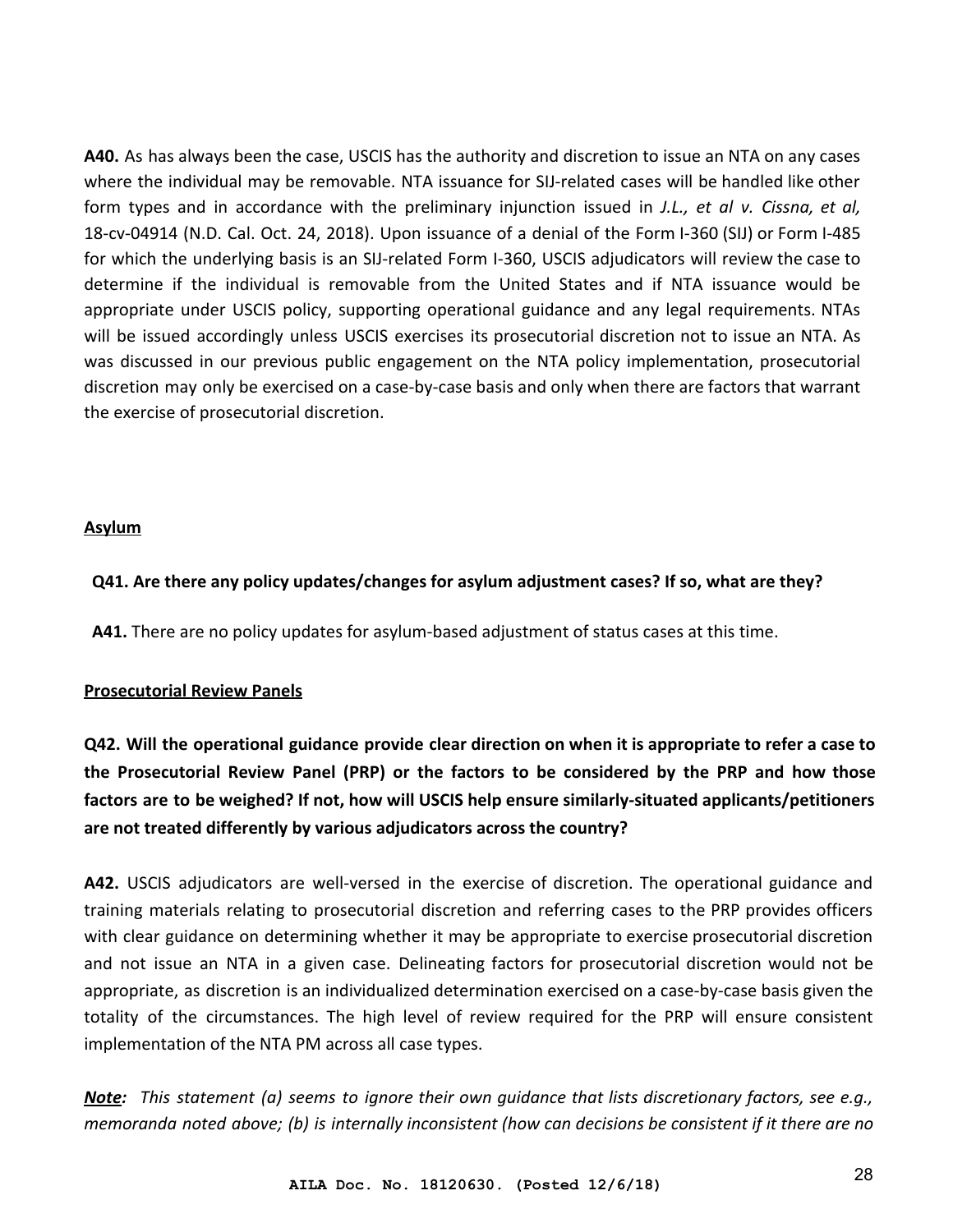**A40.** As has always been the case, USCIS has the authority and discretion to issue an NTA on any cases where the individual may be removable. NTA issuance for SIJ-related cases will be handled like other form types and in accordance with the preliminary injunction issued in *J.L., et al v. Cissna, et al,* 18-cv-04914 (N.D. Cal. Oct. 24, 2018). Upon issuance of a denial of the Form I-360 (SIJ) or Form I-485 for which the underlying basis is an SIJ-related Form I-360, USCIS adjudicators will review the case to determine if the individual is removable from the United States and if NTA issuance would be appropriate under USCIS policy, supporting operational guidance and any legal requirements. NTAs will be issued accordingly unless USCIS exercises its prosecutorial discretion not to issue an NTA. As was discussed in our previous public engagement on the NTA policy implementation, prosecutorial discretion may only be exercised on a case-by-case basis and only when there are factors that warrant the exercise of prosecutorial discretion.

#### <span id="page-27-0"></span>**Asylum**

#### **Q41. Are there any policy updates/changes for asylum adjustment cases? If so, what are they?**

<span id="page-27-1"></span>**A41.** There are no policy updates for asylum-based adjustment of status cases at this time.

#### **Prosecutorial Review Panels**

**Q42. Will the operational guidance provide clear direction on when it is appropriate to refer a case to the Prosecutorial Review Panel (PRP) or the factors to be considered by the PRP and how those factors are to be weighed? If not, how will USCIS help ensure similarly-situated applicants/petitioners are not treated differently by various adjudicators across the country?**

**A42.** USCIS adjudicators are well-versed in the exercise of discretion. The operational guidance and training materials relating to prosecutorial discretion and referring cases to the PRP provides officers with clear guidance on determining whether it may be appropriate to exercise prosecutorial discretion and not issue an NTA in a given case. Delineating factors for prosecutorial discretion would not be appropriate, as discretion is an individualized determination exercised on a case-by-case basis given the totality of the circumstances. The high level of review required for the PRP will ensure consistent implementation of the NTA PM across all case types.

*Note: This statement (a) seems to ignore their own guidance that lists discretionary factors, see e.g., memoranda noted above; (b) is internally inconsistent (how can decisions be consistent if it there are no*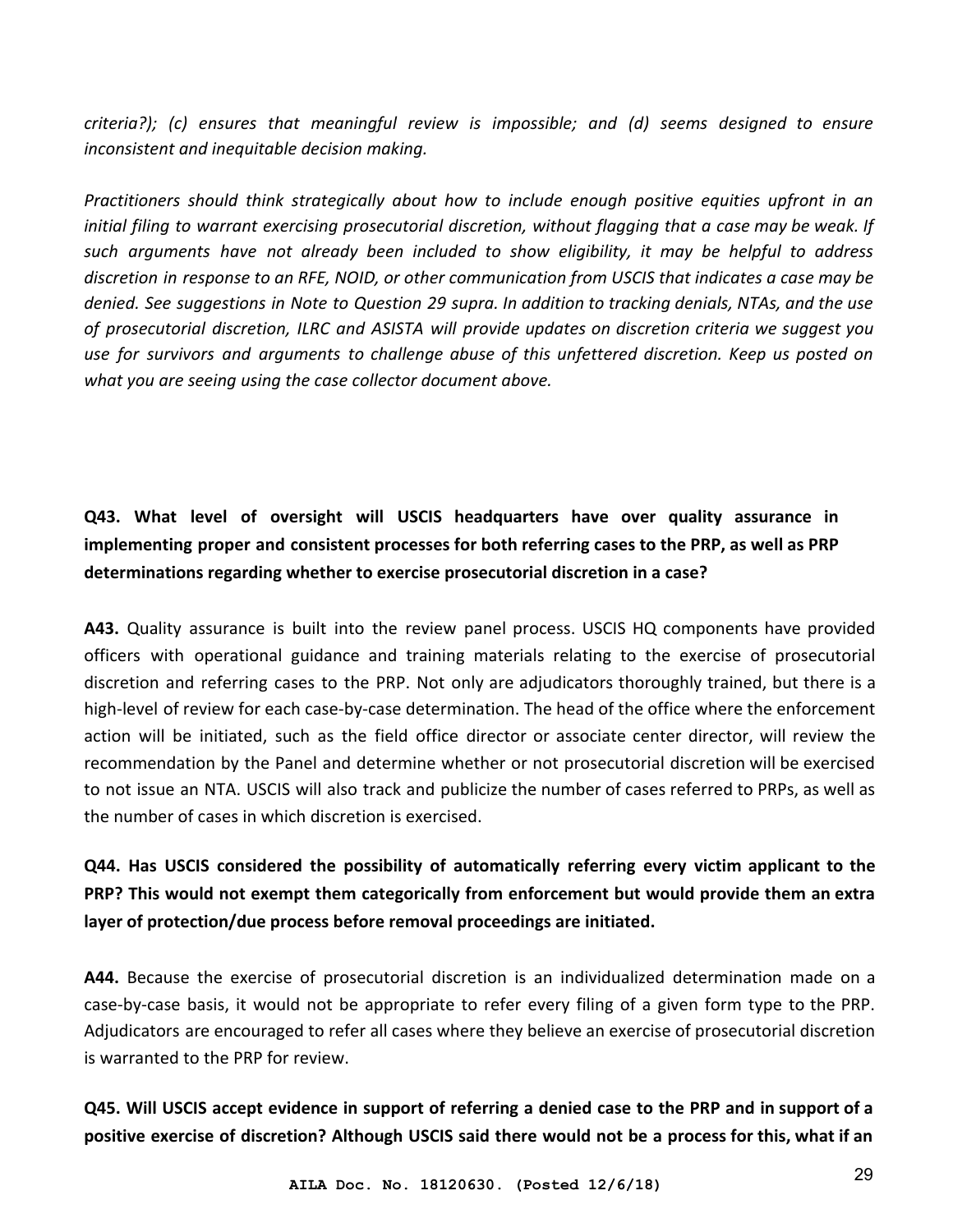*criteria?); (c) ensures that meaningful review is impossible; and (d) seems designed to ensure inconsistent and inequitable decision making.*

*Practitioners should think strategically about how to include enough positive equities upfront in an initial filing to warrant exercising prosecutorial discretion, without flagging that a case may be weak. If such arguments have not already been included to show eligibility, it may be helpful to address discretion in response to an RFE, NOID, or other communication from USCIS that indicates a case may be denied. See suggestions in Note to Question 29 supra. In addition to tracking denials, NTAs, and the use of prosecutorial discretion, ILRC and ASISTA will provide updates on discretion criteria we suggest you use for survivors and arguments to challenge abuse of this unfettered discretion. Keep us posted on what you are seeing using the case collector document above.*

# **Q43. What level of oversight will USCIS headquarters have over quality assurance in implementing proper and consistent processes for both referring cases to the PRP, as well as PRP determinations regarding whether to exercise prosecutorial discretion in a case?**

**A43.** Quality assurance is built into the review panel process. USCIS HQ components have provided officers with operational guidance and training materials relating to the exercise of prosecutorial discretion and referring cases to the PRP. Not only are adjudicators thoroughly trained, but there is a high-level of review for each case-by-case determination. The head of the office where the enforcement action will be initiated, such as the field office director or associate center director, will review the recommendation by the Panel and determine whether or not prosecutorial discretion will be exercised to not issue an NTA. USCIS will also track and publicize the number of cases referred to PRPs, as well as the number of cases in which discretion is exercised.

# **Q44. Has USCIS considered the possibility of automatically referring every victim applicant to the PRP? This would not exempt them categorically from enforcement but would provide them an extra layer of protection/due process before removal proceedings are initiated.**

**A44.** Because the exercise of prosecutorial discretion is an individualized determination made on a case-by-case basis, it would not be appropriate to refer every filing of a given form type to the PRP. Adjudicators are encouraged to refer all cases where they believe an exercise of prosecutorial discretion is warranted to the PRP for review.

## **Q45. Will USCIS accept evidence in support of referring a denied case to the PRP and in support of a positive exercise of discretion? Although USCIS said there would not be a process for this, what if an**